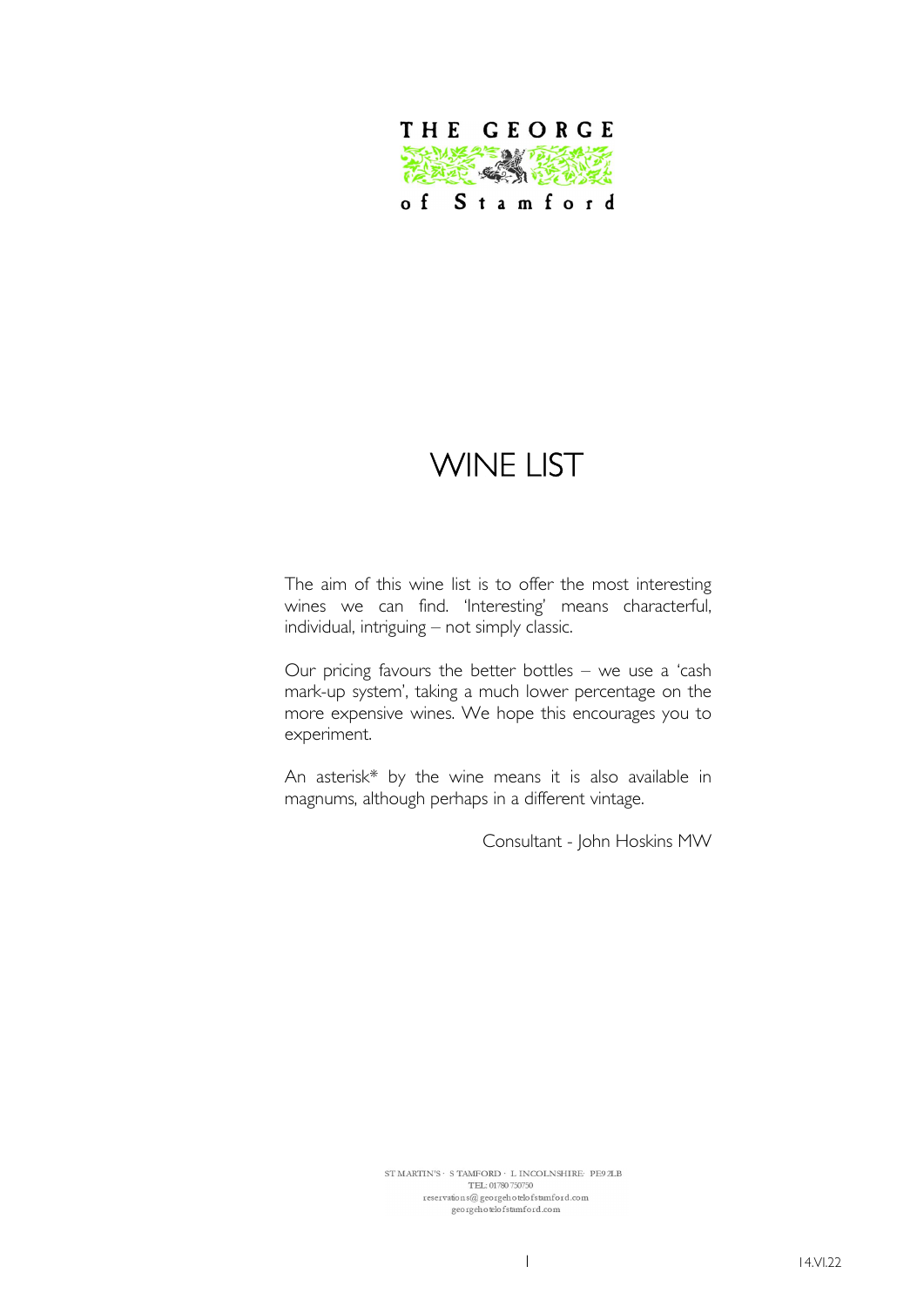

# WINE LIST

The aim of this wine list is to offer the most interesting wines we can find. 'Interesting' means characterful, individual, intriguing – not simply classic.

Our pricing favours the better bottles – we use a 'cash mark-up system', taking a much lower percentage on the more expensive wines. We hope this encourages you to experiment.

An asterisk\* by the wine means it is also available in magnums, although perhaps in a different vintage.

Consultant - John Hoskins MW

 $\begin{minipage}{.4\linewidth} \texttt{ST} \texttt{MARTIN'S} \cdot \texttt{S} \texttt{TAMFORD} \cdot \texttt{L} \texttt{INCOLNSHIRE} \cdot \texttt{PE9} \texttt{ZLB} \end{minipage}$ TEL: 01780 750750  $\,$ georgehotelofstamford.com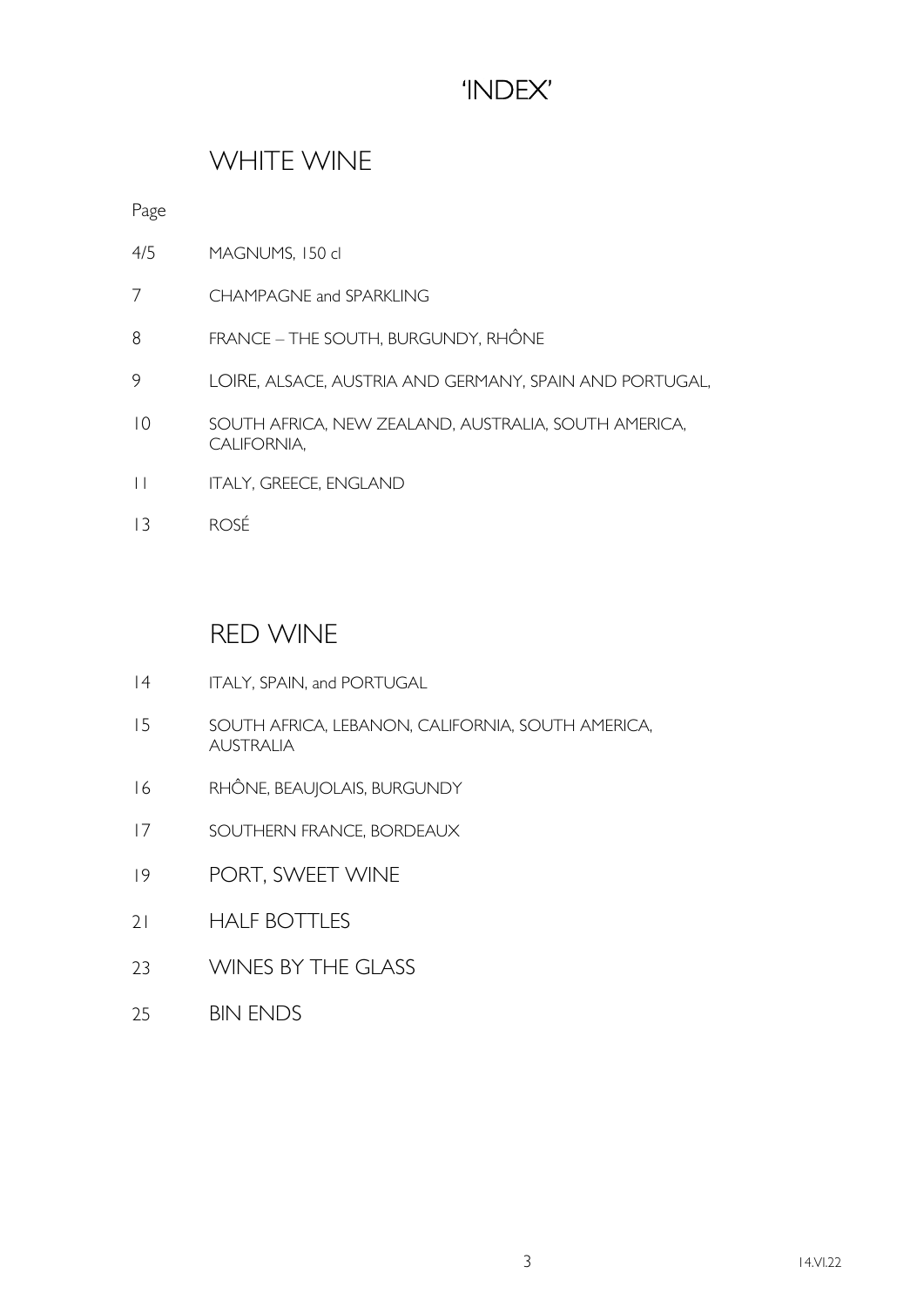## 'INDEX'

### WHITE WINE

Page

- 4/5 MAGNUMS, 150 cl
- 7 CHAMPAGNE and SPARKLING
- 8 FRANCE THE SOUTH, BURGUNDY, RHÔNE
- 9 LOIRE, ALSACE, AUSTRIA AND GERMANY, SPAIN AND PORTUGAL,
- 10 SOUTH AFRICA, NEW ZEALAND, AUSTRALIA, SOUTH AMERICA, CALIFORNIA,
- 11 ITALY, GREECE, ENGLAND
- 13 ROSÉ

#### RED WINE

- 14 ITALY, SPAIN, and PORTUGAL
- 15 SOUTH AFRICA, LEBANON, CALIFORNIA, SOUTH AMERICA, AUSTRALIA
- 16 RHÔNE, BEAUJOLAIS, BURGUNDY
- 17 SOUTHERN FRANCE, BORDEAUX
- 19 PORT, SWEET WINE
- 21 HALF BOTTLES
- 23 WINES BY THE GLASS
- 25 BIN ENDS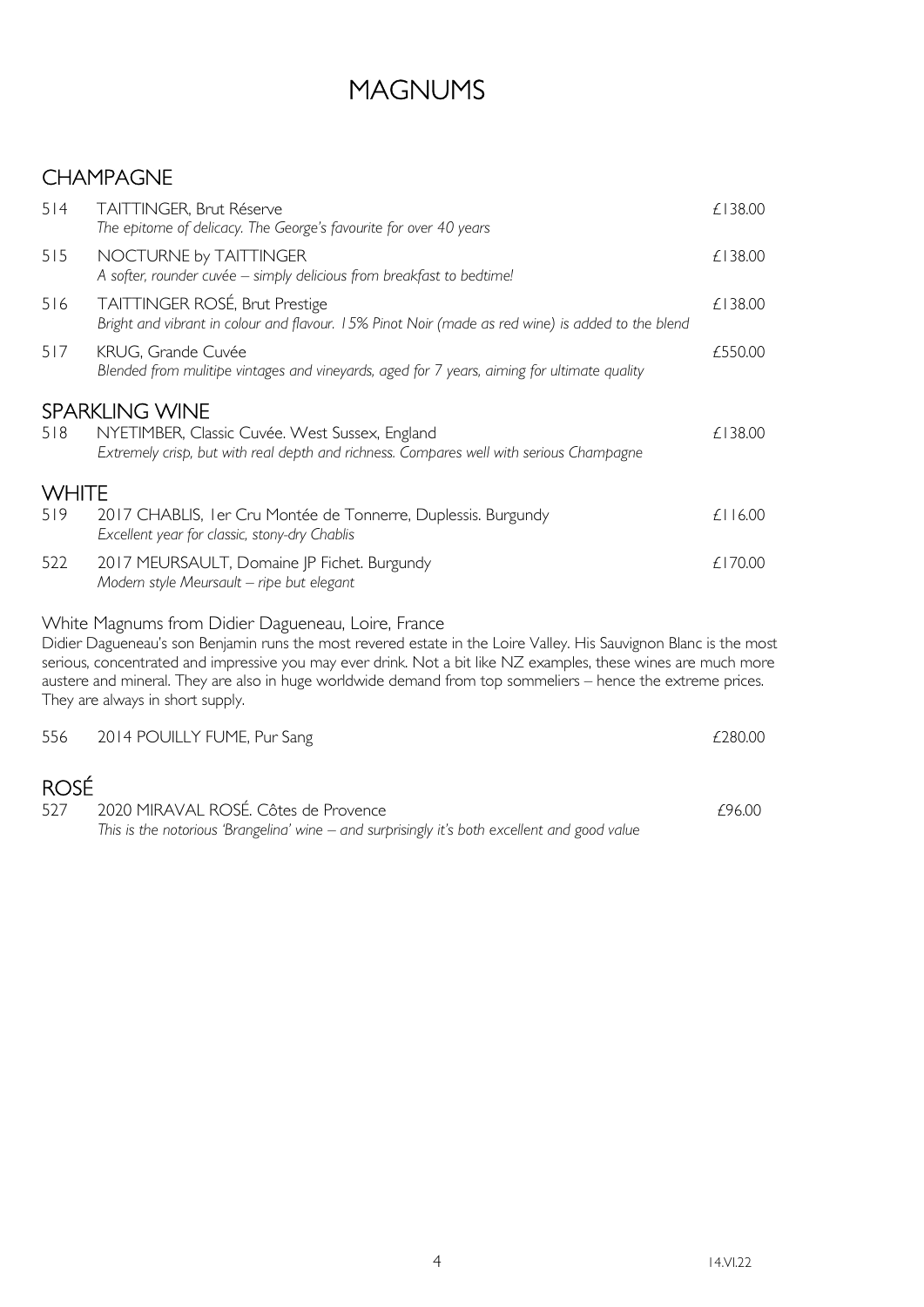## MAGNUMS

### CHAMPAGNE

| 514          | <b>TAITTINGER, Brut Réserve</b><br>The epitome of delicacy. The George's favourite for over 40 years                                                                                                                                                                                                                                                                                                                                         | £138.00      |
|--------------|----------------------------------------------------------------------------------------------------------------------------------------------------------------------------------------------------------------------------------------------------------------------------------------------------------------------------------------------------------------------------------------------------------------------------------------------|--------------|
| 515          | NOCTURNE by TAITTINGER<br>A softer, rounder cuvée - simply delicious from breakfast to bedtime!                                                                                                                                                                                                                                                                                                                                              | £138.00      |
| 516          | TAITTINGER ROSÉ, Brut Prestige<br>Bright and vibrant in colour and flavour. 15% Pinot Noir (made as red wine) is added to the blend                                                                                                                                                                                                                                                                                                          | £138.00      |
| 517          | KRUG, Grande Cuvée<br>Blended from mulitipe vintages and vineyards, aged for 7 years, aiming for ultimate quality                                                                                                                                                                                                                                                                                                                            | £550.00      |
|              | <b>SPARKLING WINE</b>                                                                                                                                                                                                                                                                                                                                                                                                                        |              |
| 518          | NYETIMBER, Classic Cuvée. West Sussex, England<br>Extremely crisp, but with real depth and richness. Compares well with serious Champagne                                                                                                                                                                                                                                                                                                    | £138.00      |
| <b>WHITE</b> |                                                                                                                                                                                                                                                                                                                                                                                                                                              |              |
| 519          | 2017 CHABLIS, I er Cru Montée de Tonnerre, Duplessis. Burgundy<br>Excellent year for classic, stony-dry Chablis                                                                                                                                                                                                                                                                                                                              | $£$   $6.00$ |
| 522          | 2017 MEURSAULT, Domaine JP Fichet. Burgundy<br>Modern style Meursault - ripe but elegant                                                                                                                                                                                                                                                                                                                                                     | £170.00      |
|              | White Magnums from Didier Dagueneau, Loire, France<br>Didier Dagueneau's son Benjamin runs the most revered estate in the Loire Valley. His Sauvignon Blanc is the most<br>serious, concentrated and impressive you may ever drink. Not a bit like NZ examples, these wines are much more<br>austere and mineral. They are also in huge worldwide demand from top sommeliers – hence the extreme prices.<br>They are always in short supply. |              |
| 556          | 2014 POUILLY FUME, Pur Sang                                                                                                                                                                                                                                                                                                                                                                                                                  | £280.00      |
| <b>ROSÉ</b>  |                                                                                                                                                                                                                                                                                                                                                                                                                                              |              |
| 527          | 2020 MIRAVAL ROSÉ. Côtes de Provence                                                                                                                                                                                                                                                                                                                                                                                                         | £96.00       |

This is the notorious 'Brangelina' wine – and surprisingly it's both excellent and good value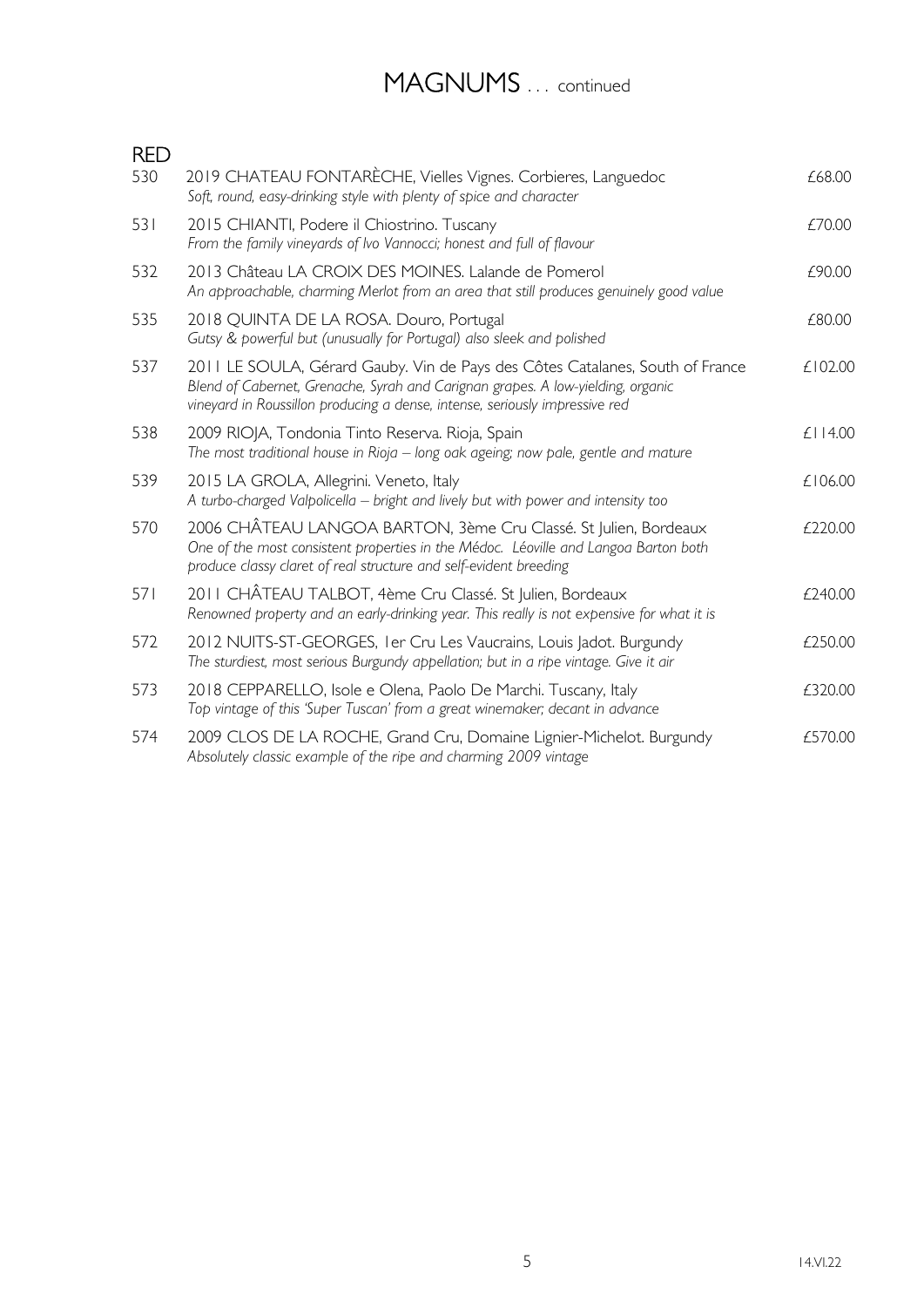# MAGNUMS ... continued

| <b>RED</b> |                                                                                                                                                                                                                                                 |               |
|------------|-------------------------------------------------------------------------------------------------------------------------------------------------------------------------------------------------------------------------------------------------|---------------|
| 530        | 2019 CHATEAU FONTARÈCHE, Vielles Vignes. Corbieres, Languedoc<br>Soft, round, easy-drinking style with plenty of spice and character                                                                                                            | £68.00        |
| 531        | 2015 CHIANTI, Podere il Chiostrino. Tuscany<br>From the family vineyards of Ivo Vannocci; honest and full of flavour                                                                                                                            | £70.00        |
| 532        | 2013 Château LA CROIX DES MOINES. Lalande de Pomerol<br>An approachable, charming Merlot from an area that still produces genuinely good value                                                                                                  | £90.00        |
| 535        | 2018 QUINTA DE LA ROSA. Douro, Portugal<br>Gutsy & powerful but (unusually for Portugal) also sleek and polished                                                                                                                                | £80.00        |
| 537        | 2011 LE SOULA, Gérard Gauby. Vin de Pays des Côtes Catalanes, South of France<br>Blend of Cabernet, Grenache, Syrah and Carignan grapes. A low-yielding, organic<br>vineyard in Roussillon producing a dense, intense, seriously impressive red | £102.00       |
| 538        | 2009 RIOJA, Tondonia Tinto Reserva. Rioja, Spain<br>The most traditional house in Rioja – long oak ageing; now pale, gentle and mature                                                                                                          | $£$   $14.00$ |
| 539        | 2015 LA GROLA, Allegrini. Veneto, Italy<br>A turbo-charged Valpolicella - bright and lively but with power and intensity too                                                                                                                    | £106.00       |
| 570        | 2006 CHÂTEAU LANGOA BARTON, 3ème Cru Classé. St Julien, Bordeaux<br>One of the most consistent properties in the Médoc. Léoville and Langoa Barton both<br>produce classy claret of real structure and self-evident breeding                    | £220.00       |
| 571        | 2011 CHÂTEAU TALBOT, 4ème Cru Classé. St Julien, Bordeaux<br>Renowned property and an early-drinking year. This really is not expensive for what it is                                                                                          | £240.00       |
| 572        | 2012 NUITS-ST-GEORGES, I er Cru Les Vaucrains, Louis Jadot. Burgundy<br>The sturdiest, most serious Burgundy appellation; but in a ripe vintage. Give it air                                                                                    | £250.00       |
| 573        | 2018 CEPPARELLO, Isole e Olena, Paolo De Marchi. Tuscany, Italy<br>Top vintage of this 'Super Tuscan' from a great winemaker; decant in advance                                                                                                 | £320.00       |
| 574        | 2009 CLOS DE LA ROCHE, Grand Cru, Domaine Lignier-Michelot. Burgundy<br>Absolutely classic example of the ripe and charming 2009 vintage                                                                                                        | £570.00       |
|            |                                                                                                                                                                                                                                                 |               |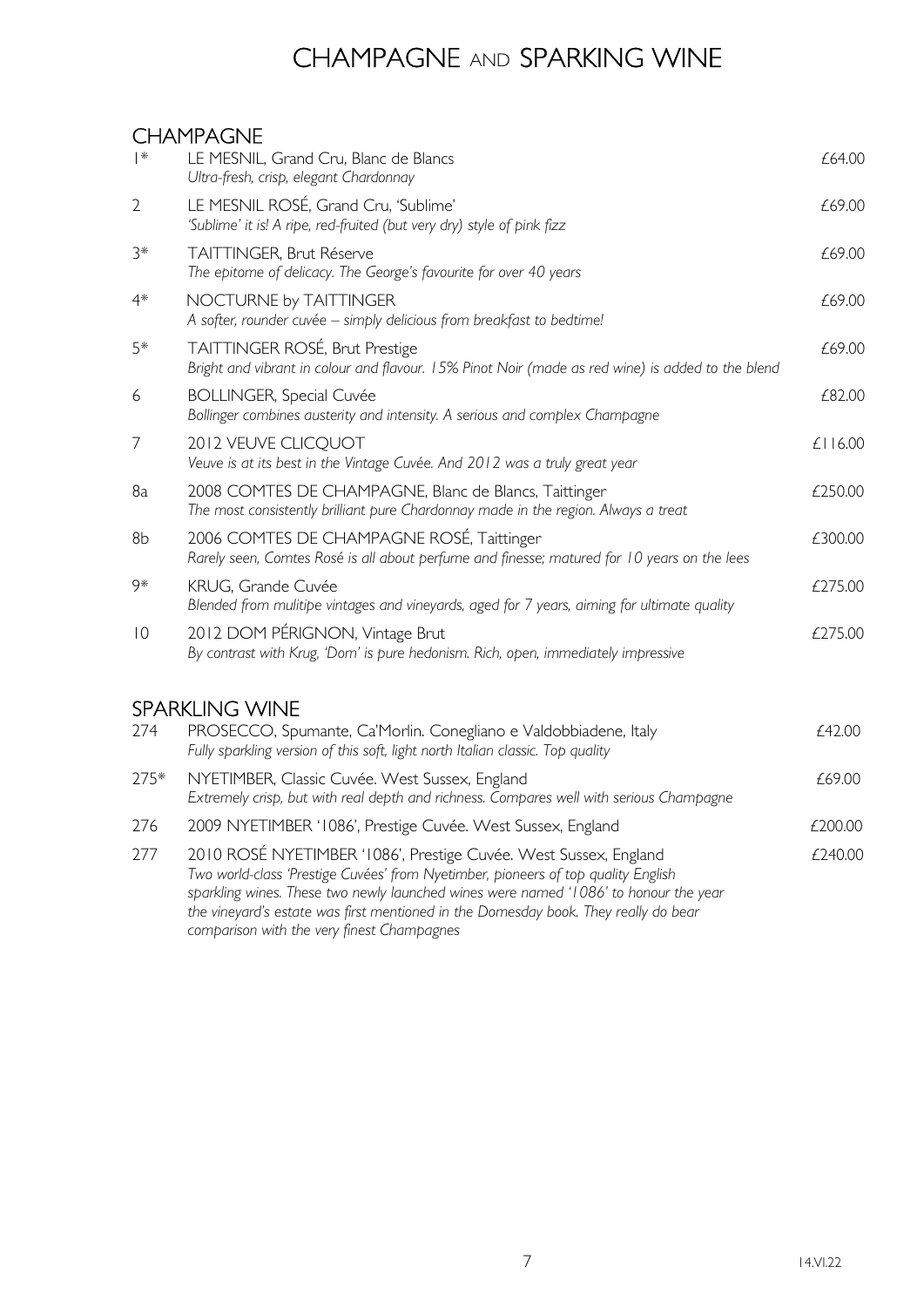## CHAMPAGNE AND SPARKING WINE

#### CHAMPAGNE

| $ *$           | LE MESNIL, Grand Cru, Blanc de Blancs<br>Ultra-fresh, crisp, elegant Chardonnay                                                                                                                                                                                                                                                      | £64.00  |
|----------------|--------------------------------------------------------------------------------------------------------------------------------------------------------------------------------------------------------------------------------------------------------------------------------------------------------------------------------------|---------|
| $\overline{2}$ | LE MESNIL ROSÉ, Grand Cru, 'Sublime'<br>'Sublime' it is! A ripe, red-fruited (but very dry) style of pink fizz                                                                                                                                                                                                                       | £69.00  |
| $3*$           | TAITTINGER, Brut Réserve<br>The epitome of delicacy. The George's favourite for over 40 years                                                                                                                                                                                                                                        | £69.00  |
| $4*$           | NOCTURNE by TAITTINGER<br>A softer, rounder cuvée - simply delicious from breakfast to bedtime!                                                                                                                                                                                                                                      | £69.00  |
| 5*             | TAITTINGER ROSÉ, Brut Prestige<br>Bright and vibrant in colour and flavour. 15% Pinot Noir (made as red wine) is added to the blend                                                                                                                                                                                                  | £69.00  |
| 6              | <b>BOLLINGER, Special Cuvée</b><br>Bollinger combines austerity and intensity. A serious and complex Champagne                                                                                                                                                                                                                       | £82.00  |
| 7              | 2012 VEUVE CLICQUOT<br>Veuve is at its best in the Vintage Cuvée. And 2012 was a truly great year                                                                                                                                                                                                                                    | £116.00 |
| 8a             | 2008 COMTES DE CHAMPAGNE, Blanc de Blancs, Taittinger<br>The most consistently brilliant pure Chardonnay made in the region. Always a treat                                                                                                                                                                                          | £250.00 |
| 8b             | 2006 COMTES DE CHAMPAGNE ROSÉ, Taittinger<br>Rarely seen, Comtes Rosé is all about perfume and finesse; matured for 10 years on the lees                                                                                                                                                                                             | £300.00 |
| 9*             | KRUG, Grande Cuvée<br>Blended from mulitipe vintages and vineyards, aged for 7 years, aiming for ultimate quality                                                                                                                                                                                                                    | £275.00 |
| $\overline{0}$ | 2012 DOM PÉRIGNON, Vintage Brut<br>By contrast with Krug, 'Dom' is pure hedonism. Rich, open, immediately impressive                                                                                                                                                                                                                 | £275.00 |
|                | <b>SPARKLING WINE</b>                                                                                                                                                                                                                                                                                                                |         |
| 274            | PROSECCO, Spumante, Ca'Morlin. Conegliano e Valdobbiadene, Italy<br>Fully sparkling version of this soft, light north Italian classic. Top quality                                                                                                                                                                                   | £42.00  |
| 275*           | NYETIMBER, Classic Cuvée. West Sussex, England<br>Extremely crisp, but with real depth and richness. Compares well with serious Champagne                                                                                                                                                                                            | £69.00  |
| 276            | 2009 NYETIMBER '1086', Prestige Cuvée. West Sussex, England                                                                                                                                                                                                                                                                          | £200.00 |
| 277            | 2010 ROSÉ NYETIMBER '1086', Prestige Cuvée. West Sussex, England<br>Two world-class 'Prestige Cuvées' from Nyetimber, pioneers of top quality English<br>sparkling wines. These two newly launched wines were named '1086' to honour the year<br>the vineyard's estate was first mentioned in the Domesday book. They really do bear | £240.00 |

comparison with the very finest Champagnes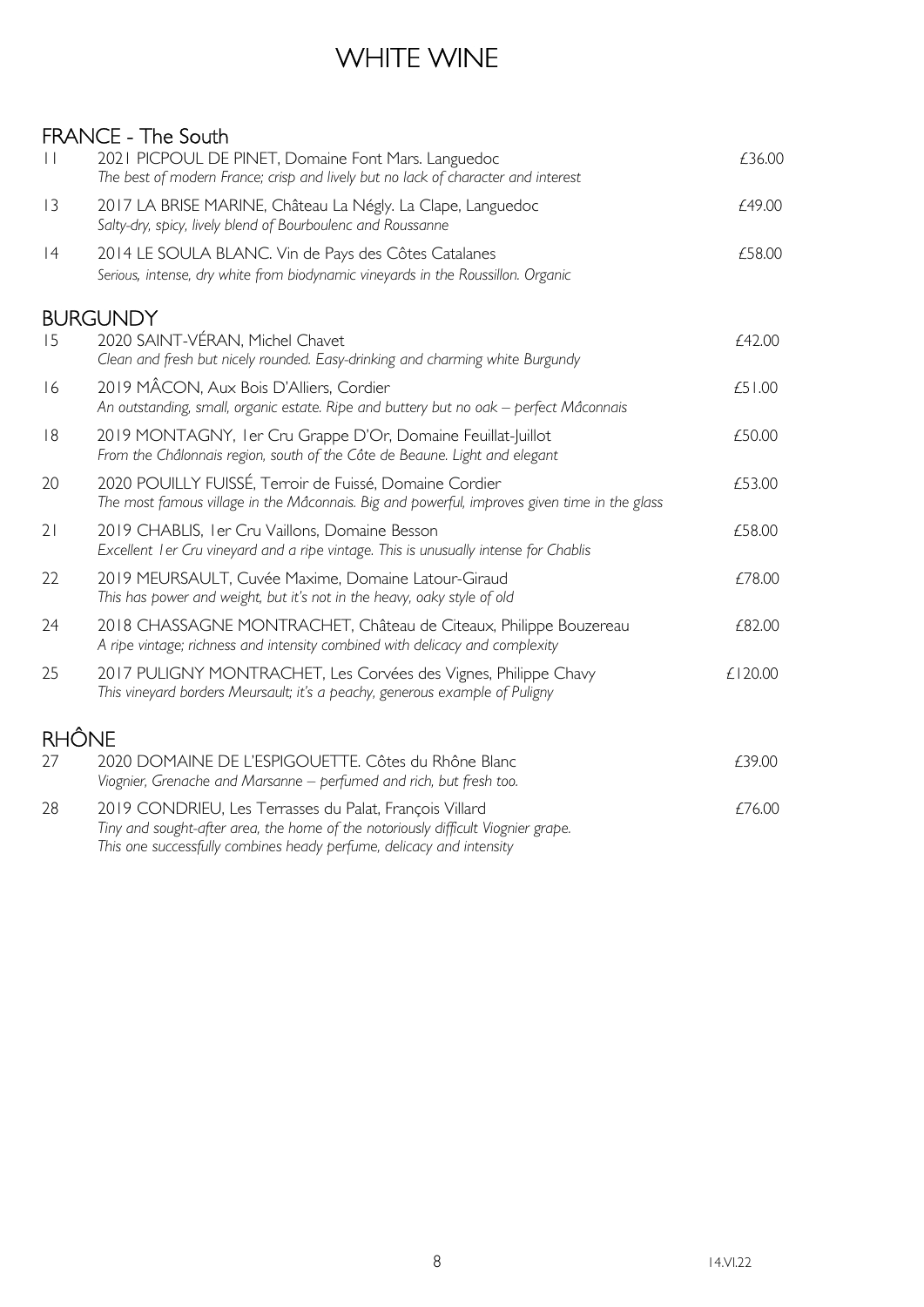## WHITE WINE

#### FRANCE - The South

| $\vert \vert$ | 2021 PICPOUL DE PINET, Domaine Font Mars. Languedoc<br>The best of modern France; crisp and lively but no lack of character and interest                                                                             | £36.00  |
|---------------|----------------------------------------------------------------------------------------------------------------------------------------------------------------------------------------------------------------------|---------|
| 3             | 2017 LA BRISE MARINE, Château La Négly. La Clape, Languedoc<br>Salty-dry, spicy, lively blend of Bourboulenc and Roussanne                                                                                           | £49.00  |
| 4             | 2014 LE SOULA BLANC. Vin de Pays des Côtes Catalanes<br>Serious, intense, dry white from biodynamic vineyards in the Roussillon. Organic                                                                             | £58.00  |
|               | <b>BURGUNDY</b>                                                                                                                                                                                                      |         |
| 15            | 2020 SAINT-VÉRAN, Michel Chavet<br>Clean and fresh but nicely rounded. Easy-drinking and charming white Burgundy                                                                                                     | £42.00  |
| 16            | 2019 MÂCON, Aux Bois D'Alliers, Cordier<br>An outstanding, small, organic estate. Ripe and buttery but no oak – perfect Mâconnais                                                                                    | £51.00  |
| 8             | 2019 MONTAGNY, I er Cru Grappe D'Or, Domaine Feuillat-Juillot<br>From the Châlonnais region, south of the Côte de Beaune. Light and elegant                                                                          | £50.00  |
| 20            | 2020 POUILLY FUISSÉ, Terroir de Fuissé, Domaine Cordier<br>The most famous village in the Mâconnais. Big and powerful, improves given time in the glass                                                              | £53.00  |
| 21            | 2019 CHABLIS, I er Cru Vaillons, Domaine Besson<br>Excellent I er Cru vineyard and a ripe vintage. This is unusually intense for Chablis                                                                             | £58.00  |
| 22            | 2019 MEURSAULT, Cuvée Maxime, Domaine Latour-Giraud<br>This has power and weight, but it's not in the heavy, oaky style of old                                                                                       | £78.00  |
| 24            | 2018 CHASSAGNE MONTRACHET, Château de Citeaux, Philippe Bouzereau<br>A ripe vintage; richness and intensity combined with delicacy and complexity                                                                    | £82.00  |
| 25            | 2017 PULIGNY MONTRACHET, Les Corvées des Vignes, Philippe Chavy<br>This vineyard borders Meursault; it's a peachy, generous example of Puligny                                                                       | £120.00 |
| <b>RHÔNE</b>  |                                                                                                                                                                                                                      |         |
| 27            | 2020 DOMAINE DE L'ESPIGOUETTE. Côtes du Rhône Blanc<br>Viognier, Grenache and Marsanne - perfumed and rich, but fresh too.                                                                                           | £39.00  |
| 28            | 2019 CONDRIEU, Les Terrasses du Palat, François Villard<br>Tiny and sought-after area, the home of the notoriously difficult Viognier grape.<br>This one successfully combines heady perfume, delicacy and intensity | £76.00  |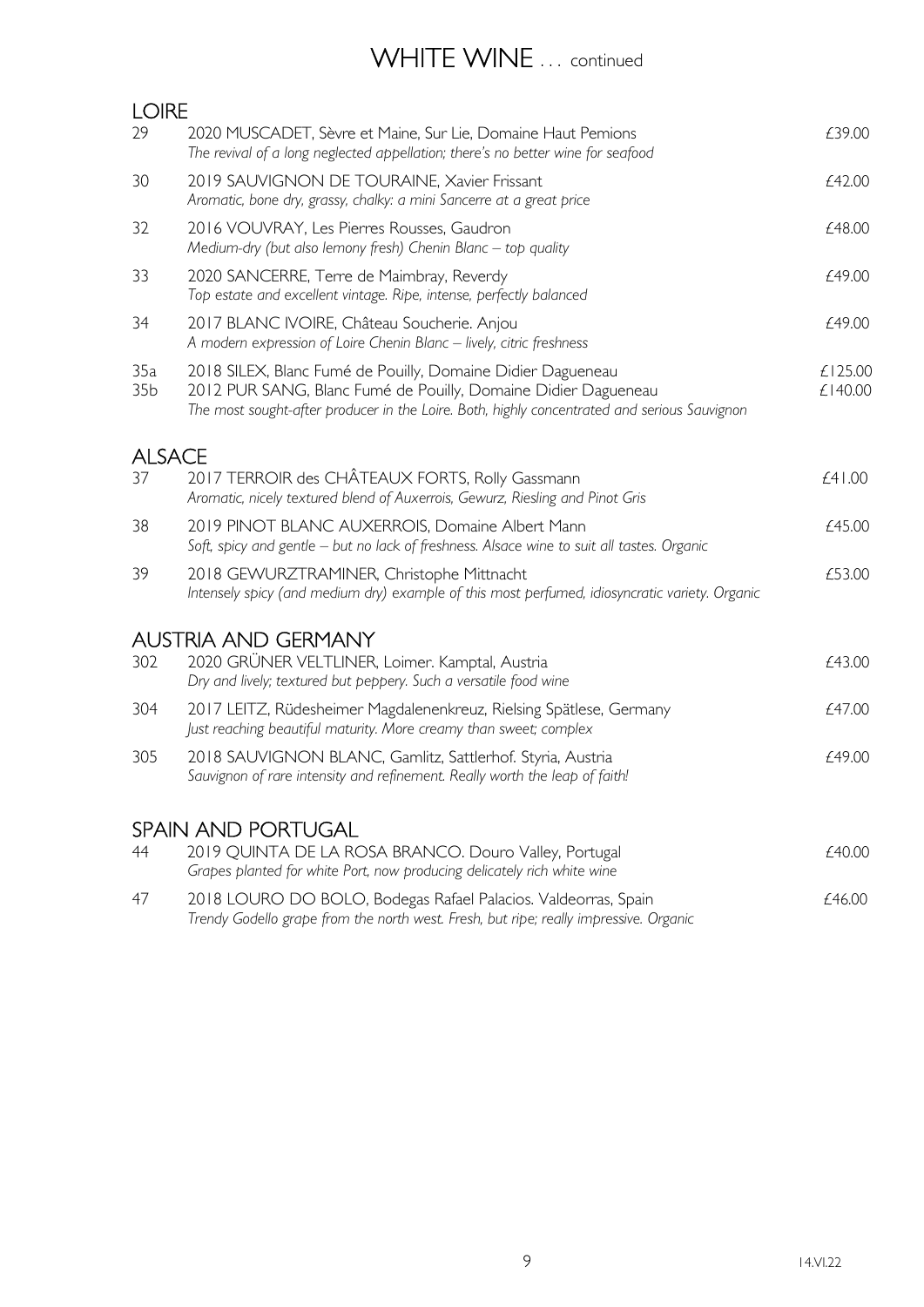## WHITE WINE ... continued

| <b>LOIRE</b>           |                                                                                                                                                                                                                               |                    |
|------------------------|-------------------------------------------------------------------------------------------------------------------------------------------------------------------------------------------------------------------------------|--------------------|
| 29                     | 2020 MUSCADET, Sèvre et Maine, Sur Lie, Domaine Haut Pemions<br>The revival of a long neglected appellation; there's no better wine for seafood                                                                               | £39.00             |
| 30                     | 2019 SAUVIGNON DE TOURAINE, Xavier Frissant<br>Aromatic, bone dry, grassy, chalky: a mini Sancerre at a great price                                                                                                           | £42.00             |
| 32                     | 2016 VOUVRAY, Les Pierres Rousses, Gaudron<br>Medium-dry (but also lemony fresh) Chenin Blanc - top quality                                                                                                                   | £48.00             |
| 33                     | 2020 SANCERRE, Terre de Maimbray, Reverdy<br>Top estate and excellent vintage. Ripe, intense, perfectly balanced                                                                                                              | £49.00             |
| 34                     | 2017 BLANC IVOIRE, Château Soucherie. Anjou<br>A modern expression of Loire Chenin Blanc - lively, citric freshness                                                                                                           | £49.00             |
| 35a<br>35 <sub>b</sub> | 2018 SILEX, Blanc Fumé de Pouilly, Domaine Didier Dagueneau<br>2012 PUR SANG, Blanc Fumé de Pouilly, Domaine Didier Dagueneau<br>The most sought-after producer in the Loire. Both, highly concentrated and serious Sauvignon | £125.00<br>£140.00 |
| <b>ALSACE</b>          |                                                                                                                                                                                                                               |                    |
| 37                     | 2017 TERROIR des CHÂTEAUX FORTS, Rolly Gassmann<br>Aromatic, nicely textured blend of Auxerrois, Gewurz, Riesling and Pinot Gris                                                                                              | £41.00             |
| 38                     | 2019 PINOT BLANC AUXERROIS, Domaine Albert Mann<br>Soft, spicy and gentle - but no lack of freshness. Alsace wine to suit all tastes. Organic                                                                                 | £45.00             |
| 39                     | 2018 GEWURZTRAMINER, Christophe Mittnacht<br>Intensely spicy (and medium dry) example of this most perfumed, idiosyncratic variety. Organic                                                                                   | £53.00             |
|                        | <b>AUSTRIA AND GERMANY</b>                                                                                                                                                                                                    |                    |
| 302                    | 2020 GRÜNER VELTLINER, Loimer. Kamptal, Austria<br>Dry and lively; textured but peppery. Such a versatile food wine                                                                                                           | £43.00             |
| 304                    | 2017 LEITZ, Rüdesheimer Magdalenenkreuz, Rielsing Spätlese, Germany<br>Just reaching beautiful maturity. More creamy than sweet; complex                                                                                      | £47.00             |
| 305                    | 2018 SAUVIGNON BLANC, Gamlitz, Sattlerhof. Styria, Austria<br>Sauvignon of rare intensity and refinement. Really worth the leap of faith!                                                                                     | £49.00             |
|                        | <b>SPAIN AND PORTUGAL</b>                                                                                                                                                                                                     |                    |
| 44                     | 2019 QUINTA DE LA ROSA BRANCO. Douro Valley, Portugal<br>Grapes planted for white Port, now producing delicately rich white wine                                                                                              | £40.00             |
| 47                     | 2018 LOURO DO BOLO, Bodegas Rafael Palacios. Valdeorras, Spain                                                                                                                                                                | £46.00             |

Trendy Godello grape from the north west. Fresh, but ripe; really impressive. Organic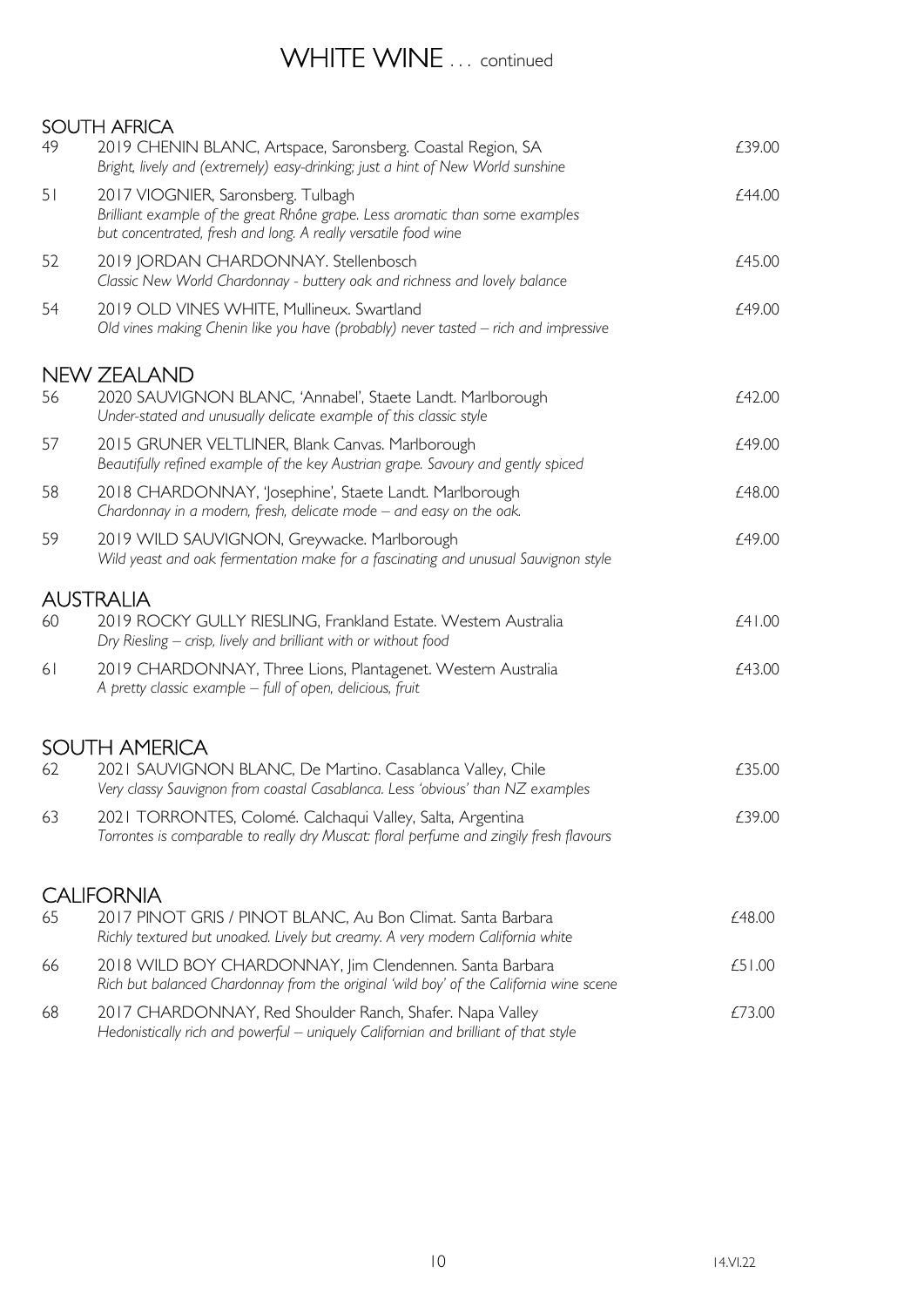### WHITE WINE ... continued

SOUTH AFRICA 49 2019 CHENIN BLANC, Artspace, Saronsberg. Coastal Region, SA  $\qquad 2019$  CHENIN BLANC, Artspace, Saronsberg. Coastal Region, SA Bright, lively and (extremely) easy-drinking; just a hint of New World sunshine 51 2017 VIOGNIER, Saronsberg. Tulbagh **EXALL SERVICES 2017** VIOGNIER, Saronsberg. Tulbagh Brilliant example of the great Rhône grape. Less aromatic than some examples but concentrated, fresh and long. A really versatile food wine 52 2019 JORDAN CHARDONNAY. Stellenbosch **EXAMPLE 2019** JORDAN CHARDONNAY. Stellenbosch Classic New World Chardonnay - buttery oak and richness and lovely balance 54 2019 OLD VINES WHITE, Mullineux, Swartland **Example 2019** OLD 2019 OLD VINES WHITE, Mullineux, Swartland Old vines making Chenin like you have (probably) never tasted – rich and impressive NEW ZEALAND 56 2020 SAUVIGNON BLANC, 'Annabel', Staete Landt. Marlborough  $£42.00$ Under-stated and unusually delicate example of this classic style 57 2015 GRUNER VELTLINER, Blank Canvas. Marlborough **EXAMPS** 2015 68 249.00 Beautifully refined example of the key Austrian grape. Savoury and gently spiced 58 2018 CHARDONNAY, 'Josephine', Staete Landt. Marlborough £48.00 Chardonnay in a modern, fresh, delicate mode – and easy on the oak. 59 2019 WILD SAUVIGNON, Greywacke. Marlborough  $f$ 49.00 Wild yeast and oak fermentation make for a fascinating and unusual Sauvignon style AUSTRALIA 60 2019 ROCKY GULLY RIESLING, Frankland Estate. Western Australia £41.00 Dry Riesling – crisp, lively and brilliant with or without food 61 2019 CHARDONNAY, Three Lions, Plantagenet. Western Australia £43.00 A pretty classic example – full of open, delicious, fruit SOUTH AMERICA 62 2021 SAUVIGNON BLANC, De Martino. Casablanca Valley, Chile  $\epsilon$ 35.00 Very classy Sauvignon from coastal Casablanca. Less 'obvious' than NZ examples 63 2021 TORRONTES, Colomé. Calchaqui Valley, Salta, Argentina £39.00 Torrontes is comparable to really dry Muscat: floral perfume and zingily fresh flavours CALIFORNIA 65 2017 PINOT GRIS / PINOT BLANC, Au Bon Climat. Santa Barbara £48.00 Richly textured but unoaked. Lively but creamy. A very modern California white 66 2018 WILD BOY CHARDONNAY, Jim Clendennen. Santa Barbara £51.00 Rich but balanced Chardonnay from the original 'wild boy' of the California wine scene 68 2017 CHARDONNAY, Red Shoulder Ranch, Shafer. Napa Valley 673.00 Hedonistically rich and powerful – uniquely Californian and brilliant of that style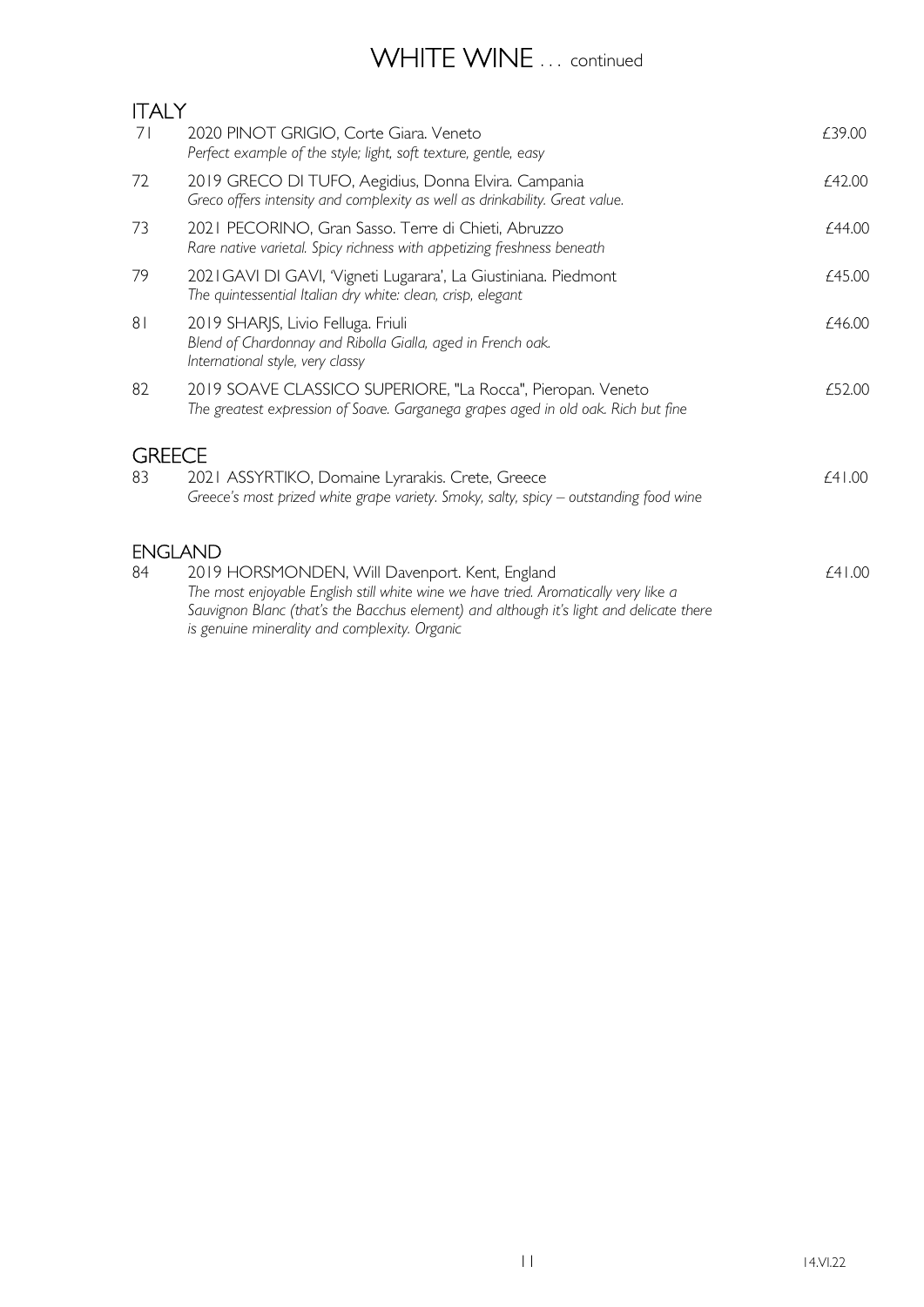# WHITE WINE ... continued

| 71                  | 2020 PINOT GRIGIO, Corte Giara. Veneto<br>Perfect example of the style; light, soft texture, gentle, easy                                                                                                                                                                         | £39.00 |
|---------------------|-----------------------------------------------------------------------------------------------------------------------------------------------------------------------------------------------------------------------------------------------------------------------------------|--------|
| 72                  | 2019 GRECO DI TUFO, Aegidius, Donna Elvira. Campania<br>Greco offers intensity and complexity as well as drinkability. Great value.                                                                                                                                               | £42.00 |
| 73                  | 2021 PECORINO, Gran Sasso. Terre di Chieti, Abruzzo<br>Rare native varietal. Spicy richness with appetizing freshness beneath                                                                                                                                                     | £44.00 |
| 79                  | 2021 GAVI DI GAVI, 'Vigneti Lugarara', La Giustiniana. Piedmont<br>The quintessential Italian dry white: clean, crisp, elegant                                                                                                                                                    | £45.00 |
| 8 <sub>1</sub>      | 2019 SHARJS, Livio Felluga. Friuli<br>Blend of Chardonnay and Ribolla Gialla, aged in French oak.<br>International style, very classy                                                                                                                                             | £46.00 |
| 82                  | 2019 SOAVE CLASSICO SUPERIORE, "La Rocca", Pieropan. Veneto<br>The greatest expression of Soave. Garganega grapes aged in old oak. Rich but fine                                                                                                                                  | £52.00 |
| <b>GREECE</b><br>83 | 2021 ASSYRTIKO, Domaine Lyrarakis. Crete, Greece<br>Greece's most prized white grape variety. Smoky, salty, spicy - outstanding food wine                                                                                                                                         | £41.00 |
| <b>ENGLAND</b>      |                                                                                                                                                                                                                                                                                   |        |
| 84                  | 2019 HORSMONDEN, Will Davenport. Kent, England<br>The most enjoyable English still white wine we have tried. Aromatically very like a<br>Sauvignon Blanc (that's the Bacchus element) and although it's light and delicate there<br>is genuine minerality and complexity. Organic | £41.00 |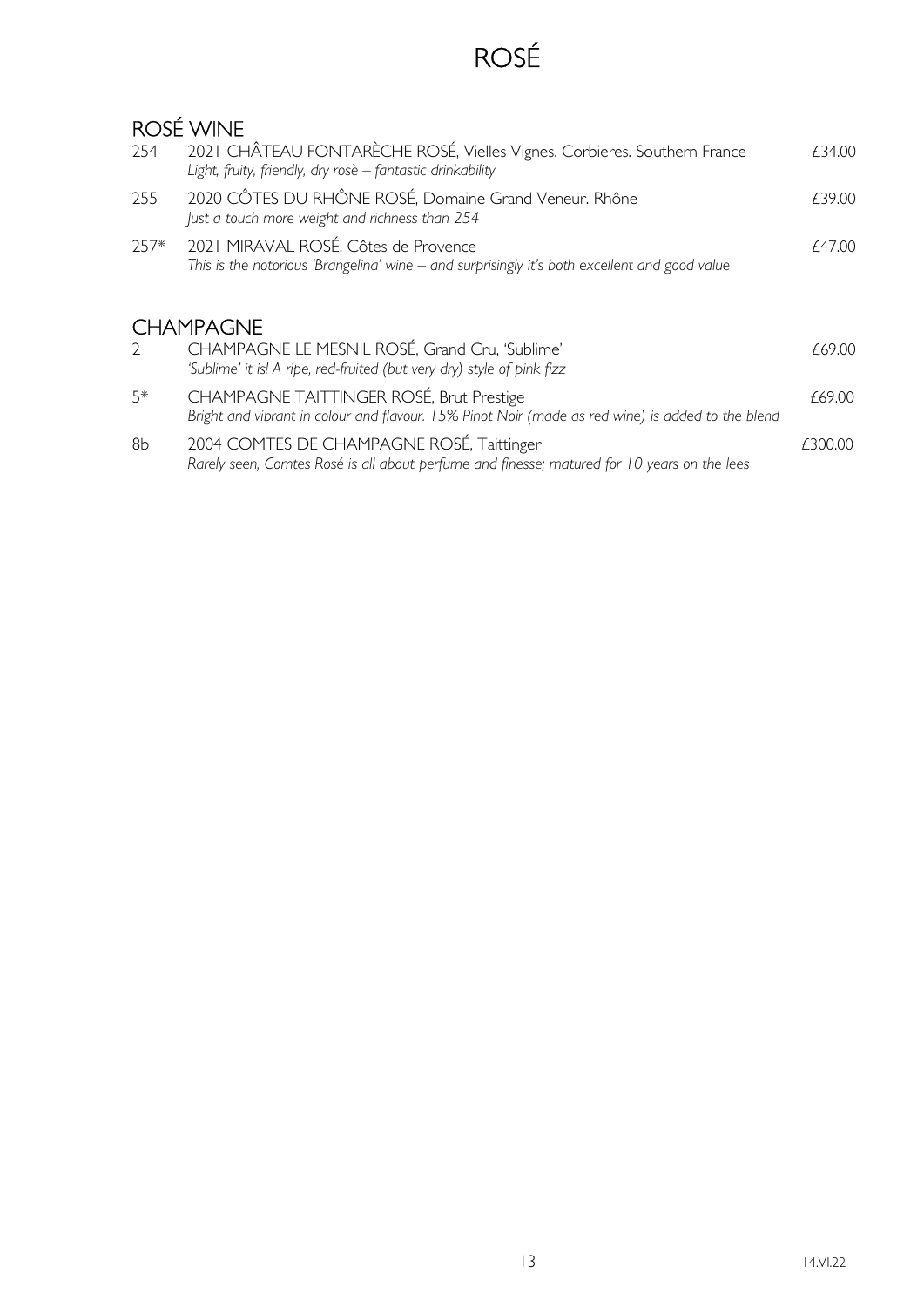# ROSÉ

## ROSÉ WINE

| 254           | 2021 CHÂTEAU FONTARÈCHE ROSÉ, Vielles Vignes. Corbieres. Southern France<br>Light, fruity, friendly, dry rosè - fantastic drinkability        | £34.00  |
|---------------|-----------------------------------------------------------------------------------------------------------------------------------------------|---------|
| 255           | 2020 CÔTES DU RHÔNE ROSÉ, Domaine Grand Veneur. Rhône<br>Just a touch more weight and richness than 254                                       | £39.00  |
| $257*$        | 2021 MIRAVAL ROSÉ. Côtes de Provence<br>This is the notorious 'Brangelina' wine – and surprisingly it's both excellent and good value         | £47.00  |
|               | <b>CHAMPAGNE</b>                                                                                                                              |         |
| $\mathcal{D}$ | CHAMPAGNE LE MESNIL ROSÉ, Grand Cru, 'Sublime'<br>'Sublime' it is! A ripe, red-fruited (but very dry) style of pink fizz                      | £69.00  |
| $5*$          | CHAMPAGNE TAITTINGER ROSÉ, Brut Prestige<br>Bright and vibrant in colour and flavour. 15% Pinot Noir (made as red wine) is added to the blend | £69.00  |
| 8b            | 2004 COMTES DE CHAMPAGNE ROSÉ, Taittinger<br>Rarely seen, Comtes Rosé is all about perfume and finesse; matured for 10 years on the lees      | £300.00 |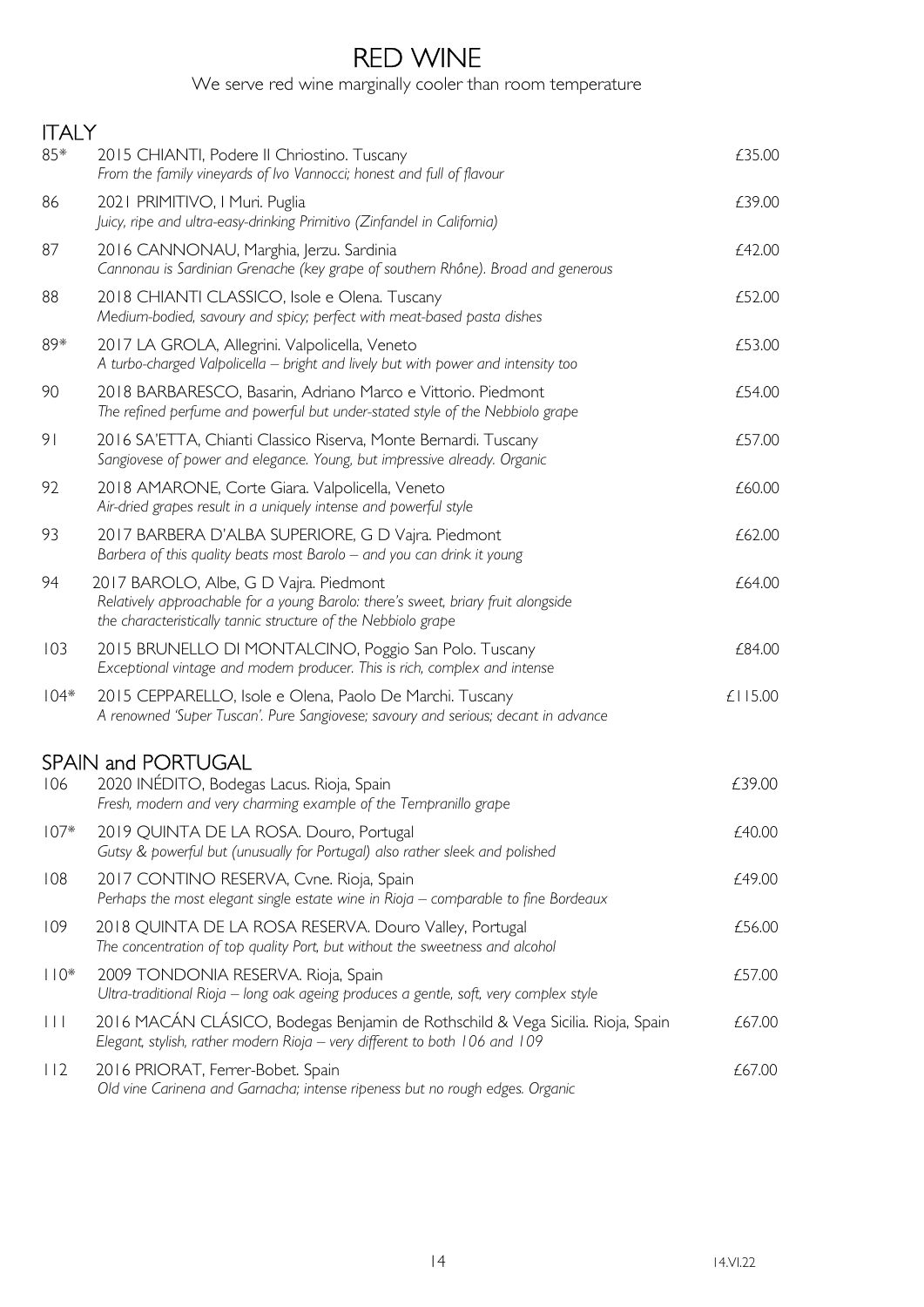## RED WINE

We serve red wine marginally cooler than room temperature

| <b>ITALY</b>            |                                                                                                                                                                                              |         |
|-------------------------|----------------------------------------------------------------------------------------------------------------------------------------------------------------------------------------------|---------|
| 85*                     | 2015 CHIANTI, Podere II Chriostino. Tuscany<br>From the family vineyards of Ivo Vannocci; honest and full of flavour                                                                         | £35.00  |
| 86                      | 2021 PRIMITIVO, I Muri. Puglia<br>Juicy, ripe and ultra-easy-drinking Primitivo (Zinfandel in California)                                                                                    | £39.00  |
| 87                      | 2016 CANNONAU, Marghia, Jerzu. Sardinia<br>Cannonau is Sardinian Grenache (key grape of southern Rhône). Broad and generous                                                                  | £42.00  |
| 88                      | 2018 CHIANTI CLASSICO, Isole e Olena. Tuscany<br>Medium-bodied, savoury and spicy; perfect with meat-based pasta dishes                                                                      | £52.00  |
| 89*                     | 2017 LA GROLA, Allegrini. Valpolicella, Veneto<br>A turbo-charged Valpolicella – bright and lively but with power and intensity too                                                          | £53.00  |
| 90                      | 2018 BARBARESCO, Basarin, Adriano Marco e Vittorio. Piedmont<br>The refined perfume and powerful but under-stated style of the Nebbiolo grape                                                | £54.00  |
| 9 <sub>1</sub>          | 2016 SA'ETTA, Chianti Classico Riserva, Monte Bernardi. Tuscany<br>Sangiovese of power and elegance. Young, but impressive already. Organic                                                  | £57.00  |
| 92                      | 2018 AMARONE, Corte Giara. Valpolicella, Veneto<br>Air-dried grapes result in a uniquely intense and powerful style                                                                          | £60.00  |
| 93                      | 2017 BARBERA D'ALBA SUPERIORE, G D Vajra. Piedmont<br>Barbera of this quality beats most Barolo - and you can drink it young                                                                 | £62.00  |
| 94                      | 2017 BAROLO, Albe, G D Vajra. Piedmont<br>Relatively approachable for a young Barolo: there's sweet, briary fruit alongside<br>the characteristically tannic structure of the Nebbiolo grape | £64.00  |
| 103                     | 2015 BRUNELLO DI MONTALCINO, Poggio San Polo. Tuscany<br>Exceptional vintage and modern producer. This is rich, complex and intense                                                          | £84.00  |
| $104*$                  | 2015 CEPPARELLO, Isole e Olena, Paolo De Marchi. Tuscany<br>A renowned 'Super Tuscan'. Pure Sangiovese; savoury and serious; decant in advance                                               | £115.00 |
|                         | <b>SPAIN and PORTUGAL</b>                                                                                                                                                                    |         |
| 106                     | 2020 INÉDITO, Bodegas Lacus. Rioja, Spain<br>Fresh, modern and very charming example of the Tempranillo grape                                                                                | £39.00  |
| $107*$                  | 2019 QUINTA DE LA ROSA. Douro, Portugal<br>Gutsy & powerful but (unusually for Portugal) also rather sleek and polished                                                                      | £40.00  |
| 108                     | 2017 CONTINO RESERVA, Cvne. Rioja, Spain<br>Perhaps the most elegant single estate wine in Rioja - comparable to fine Bordeaux                                                               | £49.00  |
| 109                     | 2018 QUINTA DE LA ROSA RESERVA. Douro Valley, Portugal<br>The concentration of top quality Port, but without the sweetness and alcohol                                                       | £56.00  |
| $110*$                  | 2009 TONDONIA RESERVA. Rioja, Spain<br>Ultra-traditional Rioja - long oak ageing produces a gentle, soft, very complex style                                                                 | £57.00  |
| $\vert \ \vert \ \vert$ | 2016 MACÁN CLÁSICO, Bodegas Benjamin de Rothschild & Vega Sicilia. Rioja, Spain<br>Elegant, stylish, rather modern Rioja - very different to both 106 and 109                                | £67.00  |
| 112                     | 2016 PRIORAT, Ferrer-Bobet. Spain<br>Old vine Carinena and Garnacha; intense ripeness but no rough edges. Organic                                                                            | £67.00  |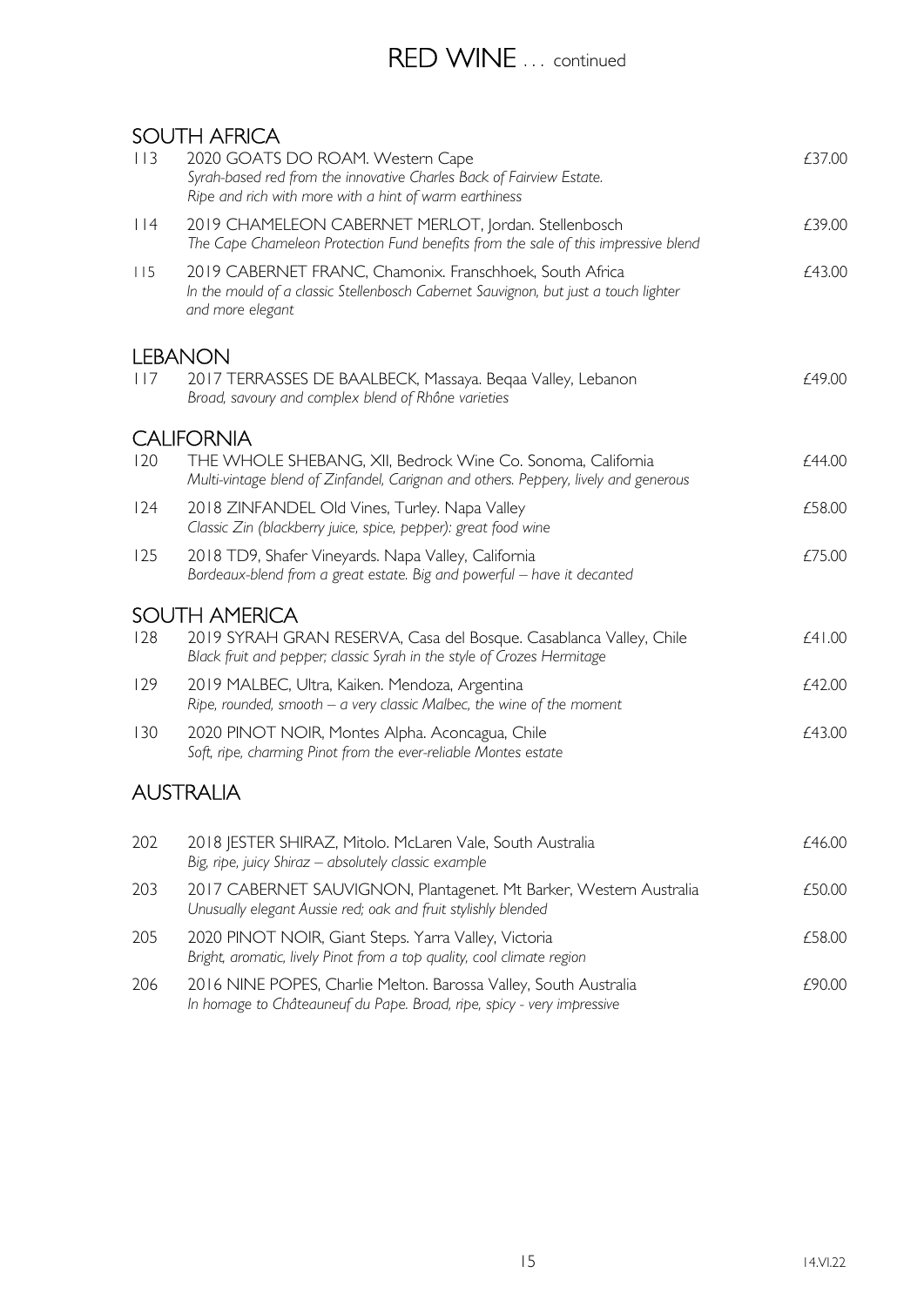## RED WINE ... continued

#### SOUTH AFRICA

| 113 | JUU 11 17 11 11 10 1<br>2020 GOATS DO ROAM. Western Cape<br>Syrah-based red from the innovative Charles Back of Fairview Estate.<br>Ripe and rich with more with a hint of warm earthiness | £37.00 |
|-----|--------------------------------------------------------------------------------------------------------------------------------------------------------------------------------------------|--------|
| 114 | 2019 CHAMELEON CABERNET MERLOT, Jordan. Stellenbosch<br>The Cape Chameleon Protection Fund benefits from the sale of this impressive blend                                                 | £39.00 |
| 115 | 2019 CABERNET FRANC, Chamonix. Franschhoek, South Africa<br>In the mould of a classic Stellenbosch Cabernet Sauvignon, but just a touch lighter<br>and more elegant                        | £43.00 |
|     | <b>LEBANON</b>                                                                                                                                                                             |        |
| 117 | 2017 TERRASSES DE BAALBECK, Massaya. Beqaa Valley, Lebanon<br>Broad, savoury and complex blend of Rhône varieties                                                                          | £49.00 |
|     | <b>CALIFORNIA</b>                                                                                                                                                                          |        |
| 120 | THE WHOLE SHEBANG, XII, Bedrock Wine Co. Sonoma, California<br>Multi-vintage blend of Zinfandel, Carignan and others. Peppery, lively and generous                                         | £44.00 |
| 124 | 2018 ZINFANDEL Old Vines, Turley. Napa Valley<br>Classic Zin (blackberry juice, spice, pepper): great food wine                                                                            | £58.00 |
| 125 | 2018 TD9, Shafer Vineyards. Napa Valley, California<br>Bordeaux-blend from a great estate. Big and powerful - have it decanted                                                             | £75.00 |
|     | <b>SOUTH AMERICA</b>                                                                                                                                                                       |        |
| 128 | 2019 SYRAH GRAN RESERVA, Casa del Bosque. Casablanca Valley, Chile<br>Black fruit and pepper; classic Syrah in the style of Crozes Hermitage                                               | £41.00 |
| 129 | 2019 MALBEC, Ultra, Kaiken. Mendoza, Argentina<br>Ripe, rounded, smooth $-$ a very classic Malbec, the wine of the moment                                                                  | £42.00 |
| 130 | 2020 PINOT NOIR, Montes Alpha. Aconcagua, Chile<br>Soft, ripe, charming Pinot from the ever-reliable Montes estate                                                                         | £43.00 |
|     | <b>AUSTRALIA</b>                                                                                                                                                                           |        |
| 202 | 2018 JESTER SHIRAZ, Mitolo. McLaren Vale, South Australia<br>Big, ripe, juicy Shiraz - absolutely classic example                                                                          | £46.00 |
| 203 | 2017 CABERNET SAUVIGNON, Plantagenet. Mt Barker, Western Australia<br>Unusually elegant Aussie red; oak and fruit stylishly blended                                                        | £50.00 |
| 205 | 2020 PINOT NOIR, Giant Steps. Yarra Valley, Victoria<br>Bright, aromatic, lively Pinot from a top quality, cool climate region                                                             | £58.00 |
| 206 | 2016 NINE POPES, Charlie Melton. Barossa Valley, South Australia                                                                                                                           | £90.00 |

In homage to Châteauneuf du Pape. Broad, ripe, spicy - very impressive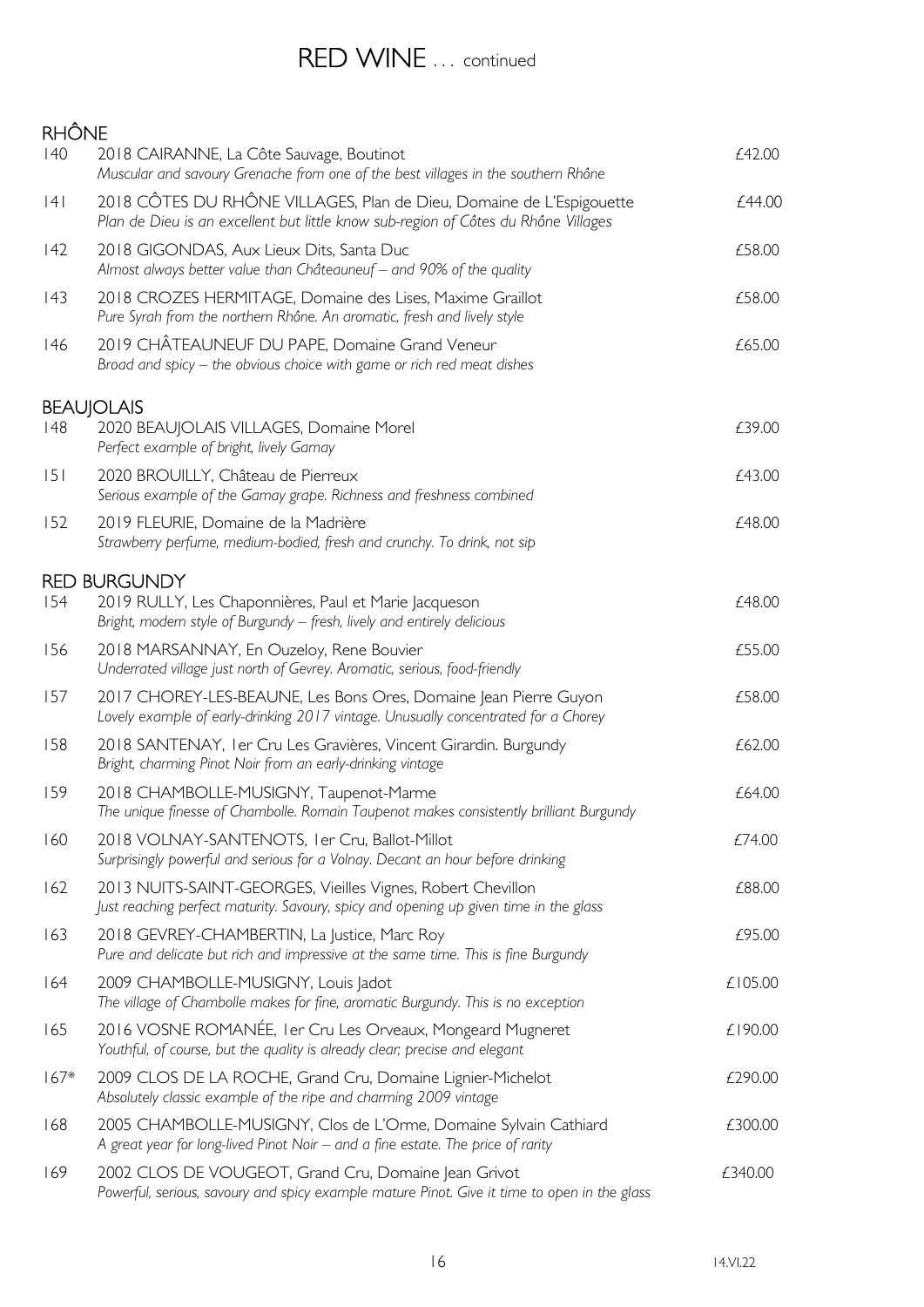### RED WINE ... continued

#### **RHÔNE** 140 2018 CAIRANNE, La Côte Sauvage, Boutinot **Edge and Executive Contract CAI CAI** Muscular and savoury Grenache from one of the best villages in the southern Rhône 141 2018 CÔTES DU RHÔNE VILLAGES, Plan de Dieu, Domaine de L'Espigouette  $f$ 44.00 Plan de Dieu is an excellent but little know sub-region of Côtes du Rhône Villages 142 2018 GIGONDAS, Aux Lieux Dits, Santa Duc **2018** 2018 616000 £58.00 Almost always better value than Châteauneuf – and 90% of the quality 143 2018 CROZES HERMITAGE, Domaine des Lises, Maxime Graillot **£58.00** Pure Syrah from the northern Rhône. An aromatic, fresh and lively style 146 2019 CHÂTEAUNEUF DU PAPE, Domaine Grand Veneur **EGELAU CHARGE 1999** 65.00 Broad and spicy – the obvious choice with game or rich red meat dishes **BEAUIOLAIS** 148 2020 BEAUJOLAIS VILLAGES, Domaine Morel **EXAMPLE 148** 2020 BEAUJOLAIS VILLAGES, Domaine Morel Perfect example of bright, lively Gamay 151 2020 BROUILLY, Château de Pierreux £43.00 Serious example of the Gamay grape. Richness and freshness combined 152 2019 FLEURIE, Domaine de la Madrière £48.00 Strawberry perfume, medium-bodied, fresh and crunchy. To drink, not sip RED BURGUNDY 154 2019 RULLY, Les Chaponnières, Paul et Marie Jacqueson *£48.00* Bright, modern style of Burgundy – fresh, lively and entirely delicious 156 2018 MARSANNAY, En Ouzeloy, Rene Bouvier **156 2018** 2018 MARSANNAY, En Ouzeloy, Rene Bouvier Underrated village just north of Gevrey. Aromatic, serious, food-friendly 157 2017 CHOREY-LES-BEAUNE, Les Bons Ores, Domaine Jean Pierre Guyon £58.00 Lovely example of early-drinking 2017 vintage. Unusually concentrated for a Chorey 158 2018 SANTENAY, 1er Cru Les Gravières, Vincent Girardin. Burgundy 2018 SANTENAY, 1er Cru Les Gravières, Vincent Girardin. Burgundy Bright, charming Pinot Noir from an early-drinking vintage 159 2018 CHAMBOLLE-MUSIGNY, Taupenot-Marme **159 12018** 2018 CHAMBOLLE-MUSIGNY, Taupenot-Marme The unique finesse of Chambolle. Romain Taupenot makes consistently brilliant Burgundy 160 2018 VOLNAY-SANTENOTS, 1er Cru, Ballot-Millot £74.00 Surprisingly powerful and serious for a Volnay. Decant an hour before drinking 162 2013 NUITS-SAINT-GEORGES, Vieilles Vignes, Robert Chevillon **EXALLES** 2013 NUITS-SAINT-GEORGES, Vieilles Vignes, Robert Chevillon Just reaching perfect maturity. Savoury, spicy and opening up given time in the glass 163 2018 GEVREY-CHAMBERTIN, La Justice, Marc Roy 695.00 Pure and delicate but rich and impressive at the same time. This is fine Burgundy 164 2009 CHAMBOLLE-MUSIGNY, Louis Jadot 2009 CHAMBOLLE-MUSIGNY, Louis Jadot The village of Chambolle makes for fine, aromatic Burgundy. This is no exception 165 2016 VOSNE ROMANÉE, 1er Cru Les Orveaux, Mongeard Mugneret £190.00 Youthful, of course, but the quality is already clear; precise and elegant 167\* 2009 CLOS DE LA ROCHE, Grand Cru, Domaine Lignier-Michelot *£290.00* Absolutely classic example of the ripe and charming 2009 vintage 168 2005 CHAMBOLLE-MUSIGNY, Clos de L'Orme, Domaine Sylvain Cathiard  $£300.00$  A great year for long-lived Pinot Noir – and a fine estate. The price of rarity 169 2002 CLOS DE VOUGEOT, Grand Cru, Domaine Jean Grivot 6340.00 Powerful, serious, savoury and spicy example mature Pinot. Give it time to open in the glass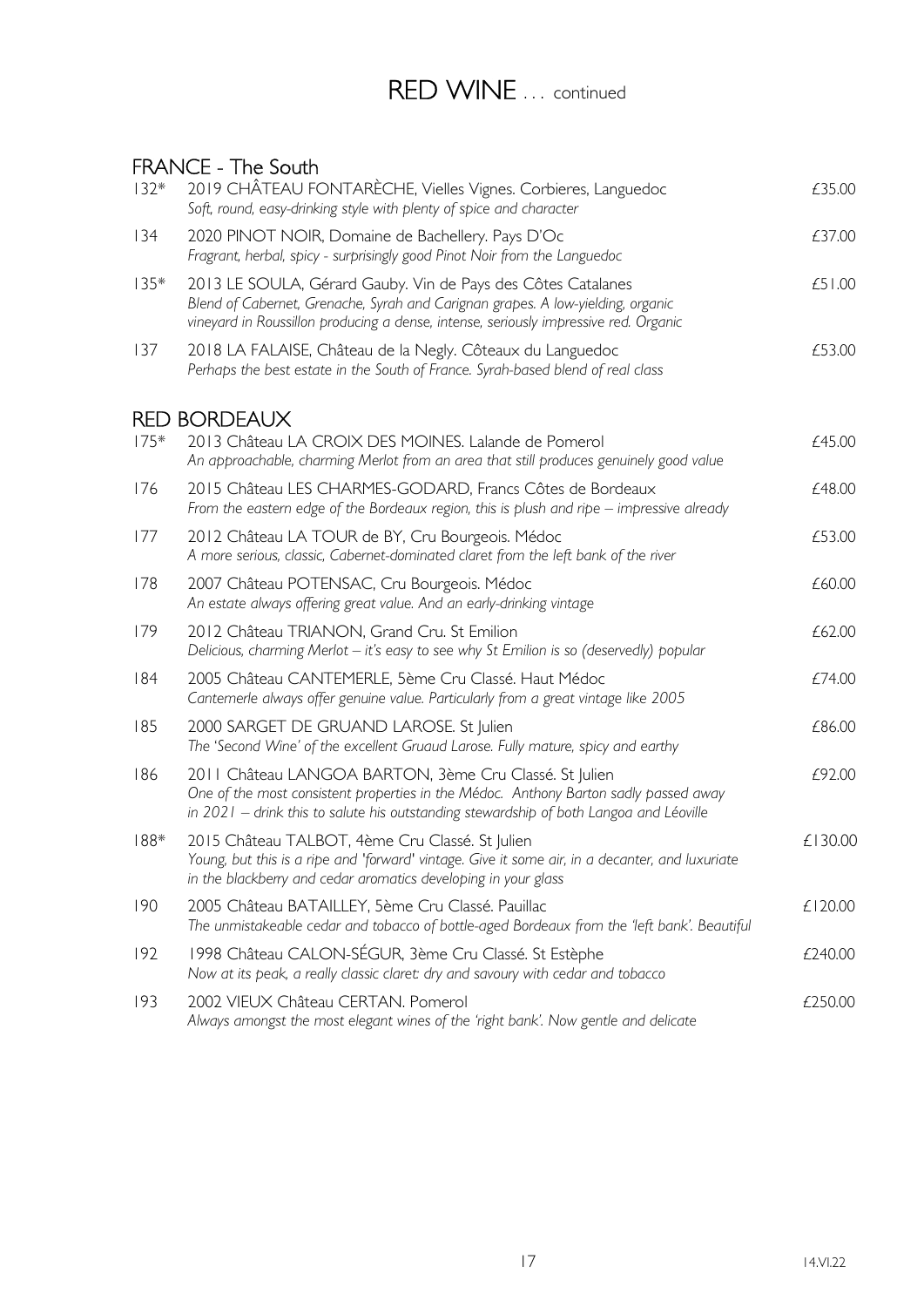## RED WINE ... continued

#### FRANCE - The South

| $132*$ | 2019 CHÂTEAU FONTARÈCHE, Vielles Vignes. Corbieres, Languedoc<br>Soft, round, easy-drinking style with plenty of spice and character                                                                                                     | £35.00  |
|--------|------------------------------------------------------------------------------------------------------------------------------------------------------------------------------------------------------------------------------------------|---------|
| 134    | 2020 PINOT NOIR, Domaine de Bachellery. Pays D'Oc<br>Fragrant, herbal, spicy - surprisingly good Pinot Noir from the Languedoc                                                                                                           | £37.00  |
| $135*$ | 2013 LE SOULA, Gérard Gauby. Vin de Pays des Côtes Catalanes<br>Blend of Cabernet, Grenache, Syrah and Carignan grapes. A low-yielding, organic<br>vineyard in Roussillon producing a dense, intense, seriously impressive red. Organic  | £51.00  |
| 137    | 2018 LA FALAISE, Château de la Negly. Côteaux du Languedoc<br>Perhaps the best estate in the South of France. Syrah-based blend of real class                                                                                            | £53.00  |
|        | <b>RED BORDEAUX</b>                                                                                                                                                                                                                      |         |
| $175*$ | 2013 Château LA CROIX DES MOINES. Lalande de Pomerol<br>An approachable, charming Merlot from an area that still produces genuinely good value                                                                                           | £45.00  |
| 176    | 2015 Château LES CHARMES-GODARD, Francs Côtes de Bordeaux<br>From the eastern edge of the Bordeaux region, this is plush and ripe $-$ impressive already                                                                                 | £48.00  |
| 177    | 2012 Château LA TOUR de BY, Cru Bourgeois. Médoc<br>A more serious, classic, Cabernet-dominated claret from the left bank of the river                                                                                                   | £53.00  |
| 178    | 2007 Château POTENSAC, Cru Bourgeois. Médoc<br>An estate always offering great value. And an early-drinking vintage                                                                                                                      | £60.00  |
| 179    | 2012 Château TRIANON, Grand Cru. St Emilion<br>Delicious, charming Merlot - it's easy to see why St Emilion is so (deservedly) popular                                                                                                   | £62.00  |
| 184    | 2005 Château CANTEMERLE, 5ème Cru Classé. Haut Médoc<br>Cantemerle always offer genuine value. Particularly from a great vintage like 2005                                                                                               | £74.00  |
| 185    | 2000 SARGET DE GRUAND LAROSE. St Julien<br>The 'Second Wine' of the excellent Gruaud Larose. Fully mature, spicy and earthy                                                                                                              | £86.00  |
| 186    | 2011 Château LANGOA BARTON, 3ème Cru Classé. St Julien<br>One of the most consistent properties in the Médoc. Anthony Barton sadly passed away<br>in 2021 - drink this to salute his outstanding stewardship of both Langoa and Léoville | £92.00  |
| $188*$ | 2015 Château TALBOT, 4ème Cru Classé. St Julien<br>Young, but this is a ripe and 'forward' vintage. Give it some air, in a decanter, and luxuriate<br>in the blackberry and cedar aromatics developing in your glass                     | £130.00 |
| 190    | 2005 Château BATAILLEY, 5ème Cru Classé. Pauillac<br>The unmistakeable cedar and tobacco of bottle-aged Bordeaux from the 'left bank'. Beautiful                                                                                         | £120.00 |
| 192    | 1998 Château CALON-SÉGUR, 3ème Cru Classé. St Estèphe<br>Now at its peak, a really classic claret: dry and savoury with cedar and tobacco                                                                                                | £240.00 |
| 193    | 2002 VIEUX Château CERTAN, Pomerol<br>Always amongst the most elegant wines of the 'right bank'. Now gentle and delicate                                                                                                                 | £250.00 |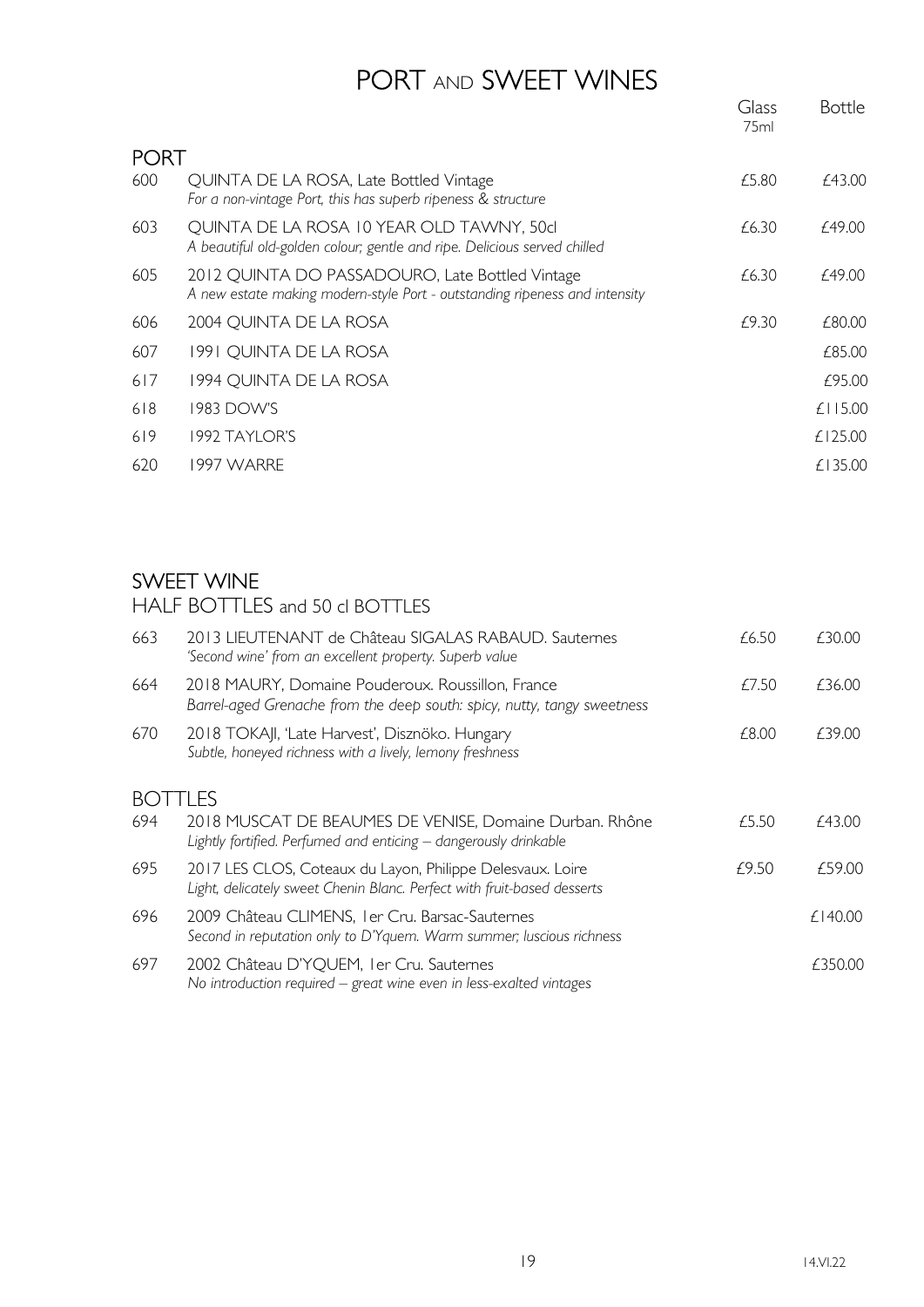## PORT AND SWEET WINES

|             |                                                                                                                               | Glass<br>75ml | <b>Bottle</b> |
|-------------|-------------------------------------------------------------------------------------------------------------------------------|---------------|---------------|
| <b>PORT</b> |                                                                                                                               |               |               |
| 600         | QUINTA DE LA ROSA, Late Bottled Vintage<br>For a non-vintage Port, this has superb ripeness & structure                       | £5.80         | £43.00        |
| 603         | QUINTA DE LA ROSA 10 YEAR OLD TAWNY, 50cl<br>A beautiful old-golden colour; gentle and ripe. Delicious served chilled         | £6.30         | £49.00        |
| 605         | 2012 QUINTA DO PASSADOURO, Late Bottled Vintage<br>A new estate making modern-style Port - outstanding ripeness and intensity | £6.30         | £49.00        |
| 606         | 2004 QUINTA DE LA ROSA                                                                                                        | £9.30         | £80.00        |
| 607         | 1991 QUINTA DE LA ROSA                                                                                                        |               | £85.00        |
| 617         | 1994 QUINTA DE LA ROSA                                                                                                        |               | £95.00        |
| 618         | 1983 DOW'S                                                                                                                    |               | $£$   15.00   |
| 619         | 1992 TAYLOR'S                                                                                                                 |               | £125.00       |
| 620         | 1997 WARRE                                                                                                                    |               | £135.00       |

#### SWEET WINE

HALF BOTTLES and 50 cl BOTTLES

| 663  | 2013 LIEUTENANT de Château SIGALAS RABAUD. Sauternes<br>'Second wine' from an excellent property. Superb value                        | £6.50 | £30.00  |
|------|---------------------------------------------------------------------------------------------------------------------------------------|-------|---------|
| 664  | 2018 MAURY, Domaine Pouderoux. Roussillon, France<br>Barrel-aged Grenache from the deep south: spicy, nutty, tangy sweetness          | £7.50 | £36.00  |
| 670  | 2018 TOKAJI, 'Late Harvest', Disznöko. Hungary<br>Subtle, honeyed richness with a lively, lemony freshness                            | £8.00 | £39.00  |
| BO L | TLES                                                                                                                                  |       |         |
| 694  | 2018 MUSCAT DE BEAUMES DE VENISE, Domaine Durban. Rhône<br>Lightly fortified. Perfumed and enticing - dangerously drinkable           | £5.50 | £43.00  |
| 695  | 2017 LES CLOS, Coteaux du Layon, Philippe Delesvaux. Loire<br>Light, delicately sweet Chenin Blanc. Perfect with fruit-based desserts | £9.50 | £59.00  |
| 696  | 2009 Château CLIMENS, I er Cru. Barsac-Sauternes<br>Second in reputation only to D'Yquem. Warm summer; luscious richness              |       | £140.00 |
| 697  | 2002 Château D'YQUEM, I er Cru. Sauternes<br>No introduction required $-$ great wine even in less-exalted vintages                    |       | £350.00 |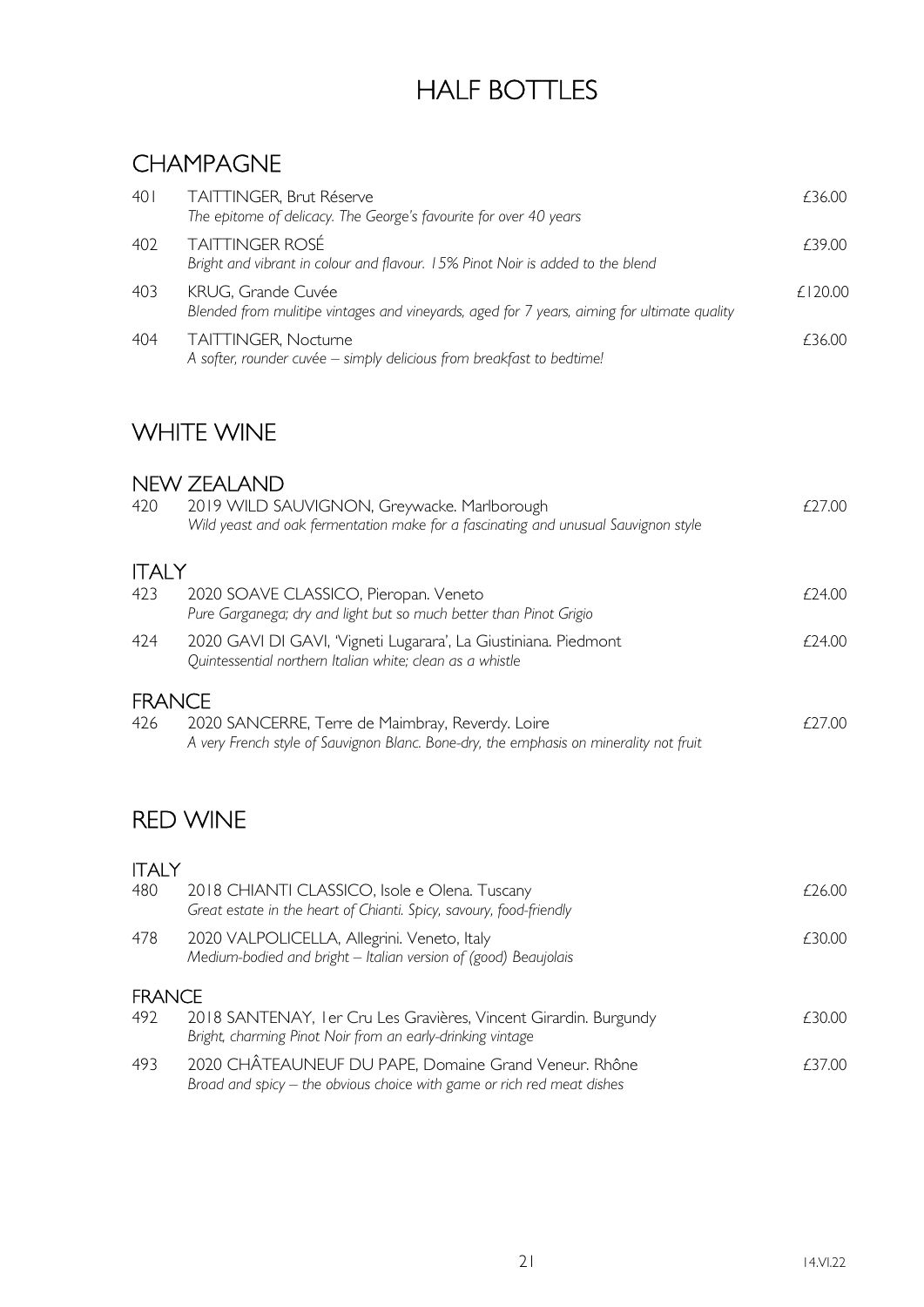# HALF BOTTLES

### CHAMPAGNE

| 401 | TAITTINGER, Brut Réserve<br>The epitome of delicacy. The George's favourite for over 40 years                     | £36.00      |
|-----|-------------------------------------------------------------------------------------------------------------------|-------------|
| 402 | <b>TAITTINGER ROSÉ</b><br>Bright and vibrant in colour and flavour. 15% Pinot Noir is added to the blend          | £39.00      |
| 403 | KRUG, Grande Cuvée<br>Blended from mulitipe vintages and vineyards, aged for 7 years, aiming for ultimate quality | $f$   20.00 |
| 404 | TAITTINGER, Nocturne<br>A softer, rounder cuvée - simply delicious from breakfast to bedtime!                     | £36.00      |

### WHITE WINE

#### NEW ZEALAND

| 2019 WILD SAUVIGNON, Greywacke. Marlborough<br>Wild yeast and oak fermentation make for a fascinating and unusual Sauvignon style          | £27.00                        |
|--------------------------------------------------------------------------------------------------------------------------------------------|-------------------------------|
|                                                                                                                                            |                               |
| 2020 SOAVE CLASSICO, Pieropan. Veneto<br>Pure Garganega; dry and light but so much better than Pinot Grigio                                | £24.00                        |
| 2020 GAVI DI GAVI, 'Vigneti Lugarara', La Giustiniana. Piedmont<br>Quintessential northern Italian white; clean as a whistle               | £24.00                        |
|                                                                                                                                            |                               |
| 2020 SANCERRE, Terre de Maimbray, Reverdy. Loire<br>A very French style of Sauvignon Blanc. Bone-dry, the emphasis on minerality not fruit | £27.00                        |
|                                                                                                                                            |                               |
| <b>RED WINE</b>                                                                                                                            |                               |
|                                                                                                                                            |                               |
| 2018 CHIANTI CLASSICO, Isole e Olena. Tuscany<br>Great estate in the heart of Chianti. Spicy, savoury, food-friendly                       | £26.00                        |
| 2020 VALPOLICELLA, Allegrini. Veneto, Italy<br>Medium-bodied and bright - Italian version of (good) Beaujolais                             | £30.00                        |
| <b>FRANCE</b>                                                                                                                              |                               |
| 2018 SANTENAY, I er Cru Les Gravières, Vincent Girardin. Burgundy<br>Bright, charming Pinot Noir from an early-drinking vintage            | £30.00                        |
|                                                                                                                                            | <b>ITALY</b><br><b>FRANCE</b> |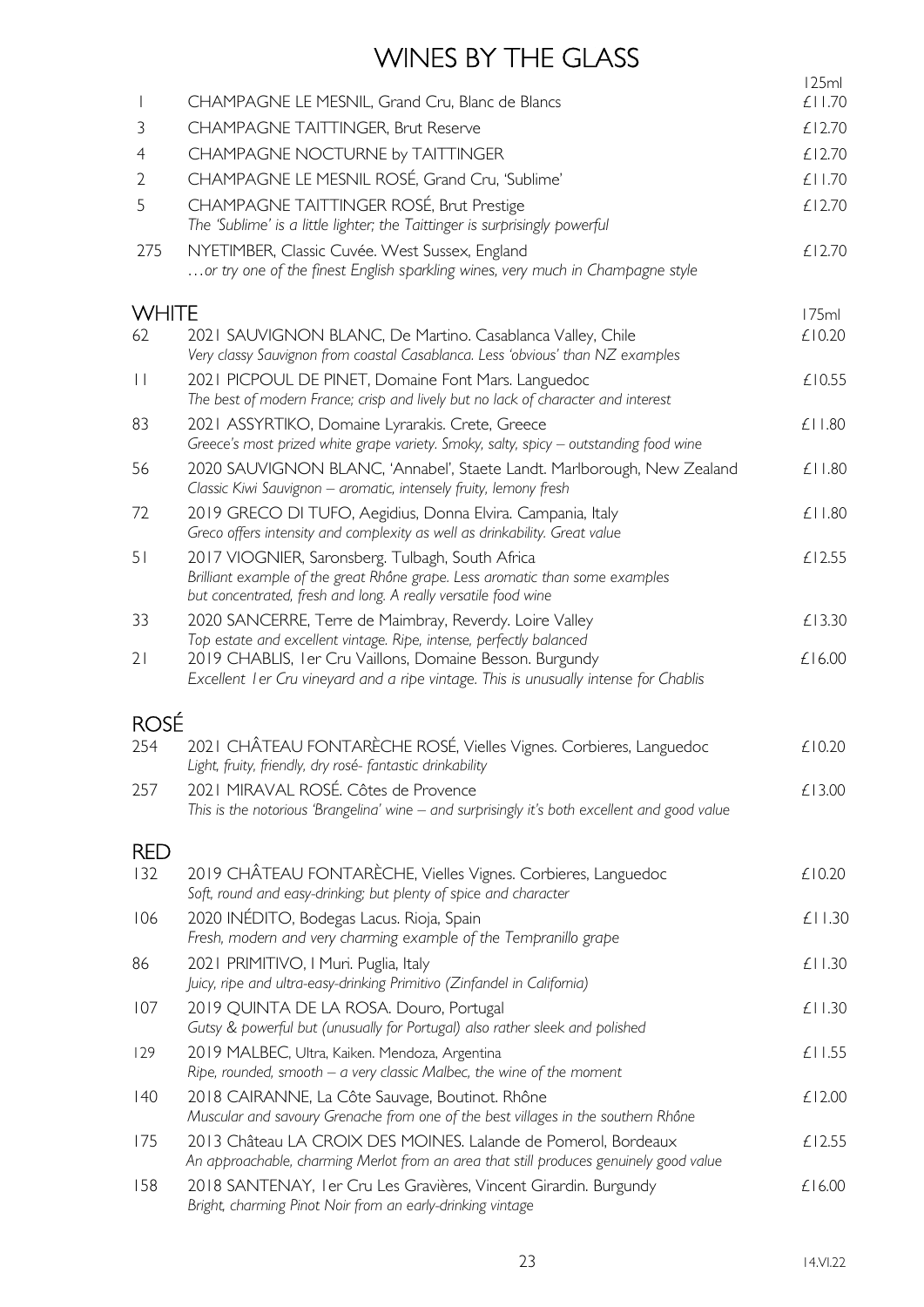# WINES BY THE GLASS

|                |                                                                                                                                                                                                                           | 125ml        |
|----------------|---------------------------------------------------------------------------------------------------------------------------------------------------------------------------------------------------------------------------|--------------|
|                | CHAMPAGNE LE MESNIL, Grand Cru, Blanc de Blancs                                                                                                                                                                           | £11.70       |
| 3              | <b>CHAMPAGNE TAITTINGER, Brut Reserve</b>                                                                                                                                                                                 | £12.70       |
| $\overline{4}$ | CHAMPAGNE NOCTURNE by TAITTINGER                                                                                                                                                                                          | £12.70       |
| $\overline{2}$ | CHAMPAGNE LE MESNIL ROSÉ, Grand Cru, 'Sublime'                                                                                                                                                                            | £11.70       |
| 5              | CHAMPAGNE TAITTINGER ROSÉ, Brut Prestige<br>The 'Sublime' is a little lighter; the Taittinger is surprisingly powerful                                                                                                    | £12.70       |
| 275            | NYETIMBER, Classic Cuvée. West Sussex, England<br>or try one of the finest English sparkling wines, very much in Champagne style                                                                                          | £12.70       |
| <b>WHITE</b>   |                                                                                                                                                                                                                           | 175ml        |
| 62             | 2021 SAUVIGNON BLANC, De Martino. Casablanca Valley, Chile<br>Very classy Sauvignon from coastal Casablanca. Less 'obvious' than NZ examples                                                                              | £10.20       |
| $\vert \vert$  | 2021 PICPOUL DE PINET, Domaine Font Mars. Languedoc<br>The best of modern France; crisp and lively but no lack of character and interest                                                                                  | £10.55       |
| 83             | 2021 ASSYRTIKO, Domaine Lyrarakis. Crete, Greece<br>Greece's most prized white grape variety. Smoky, salty, spicy - outstanding food wine                                                                                 | $£$   $.80$  |
| 56             | 2020 SAUVIGNON BLANC, 'Annabel', Staete Landt. Marlborough, New Zealand<br>Classic Kiwi Sauvignon - aromatic, intensely fruity, lemony fresh                                                                              | £11.80       |
| 72             | 2019 GRECO DI TUFO, Aegidius, Donna Elvira. Campania, Italy<br>Greco offers intensity and complexity as well as drinkability. Great value                                                                                 | £11.80       |
| 51             | 2017 VIOGNIER, Saronsberg. Tulbagh, South Africa<br>Brilliant example of the great Rhône grape. Less aromatic than some examples<br>but concentrated, fresh and long. A really versatile food wine                        | £12.55       |
| 33             | 2020 SANCERRE, Terre de Maimbray, Reverdy. Loire Valley                                                                                                                                                                   | £13.30       |
| 21             | Top estate and excellent vintage. Ripe, intense, perfectly balanced<br>2019 CHABLIS, I er Cru Vaillons, Domaine Besson. Burgundy<br>Excellent I er Cru vineyard and a ripe vintage. This is unusually intense for Chablis | £16.00       |
| <b>ROSÉ</b>    |                                                                                                                                                                                                                           |              |
| 254            | 2021 CHÂTEAU FONTARÈCHE ROSÉ, Vielles Vignes. Corbieres, Languedoc<br>Light, fruity, friendly, dry rosé-fantastic drinkability                                                                                            | £10.20       |
| 257            | 2021 MIRAVAL ROSÉ. Côtes de Provence<br>This is the notorious 'Brangelina' wine - and surprisingly it's both excellent and good value                                                                                     | £13.00       |
| <b>RED</b>     |                                                                                                                                                                                                                           |              |
| 132            | 2019 CHÂTEAU FONTARÈCHE, Vielles Vignes. Corbieres, Languedoc<br>Soft, round and easy-drinking; but plenty of spice and character                                                                                         | £10.20       |
| 106            | 2020 INÉDITO, Bodegas Lacus. Rioja, Spain<br>Fresh, modern and very charming example of the Tempranillo grape                                                                                                             | £11.30       |
| 86             | 2021 PRIMITIVO, I Muri. Puglia, Italy<br>Juicy, ripe and ultra-easy-drinking Primitivo (Zinfandel in California)                                                                                                          | £11.30       |
| 107            | 2019 QUINTA DE LA ROSA. Douro, Portugal<br>Gutsy & powerful but (unusually for Portugal) also rather sleek and polished                                                                                                   | £11.30       |
| 129            | 2019 MALBEC, Ultra, Kaiken. Mendoza, Argentina<br>Ripe, rounded, smooth $-$ a very classic Malbec, the wine of the moment                                                                                                 | $£$   $1.55$ |
| 40             | 2018 CAIRANNE, La Côte Sauvage, Boutinot. Rhône<br>Muscular and savoury Grenache from one of the best villages in the southern Rhône                                                                                      | £12.00       |
| 175            | 2013 Château LA CROIX DES MOINES. Lalande de Pomerol, Bordeaux<br>An approachable, charming Merlot from an area that still produces genuinely good value                                                                  | £12.55       |
| 158            | 2018 SANTENAY, I er Cru Les Gravières, Vincent Girardin. Burgundy<br>Bright, charming Pinot Noir from an early-drinking vintage                                                                                           | £16.00       |